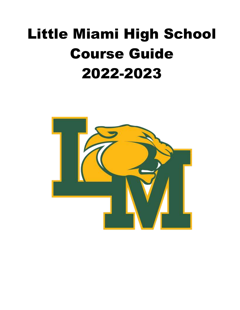# Little Miami High School Course Guide 2022-2023

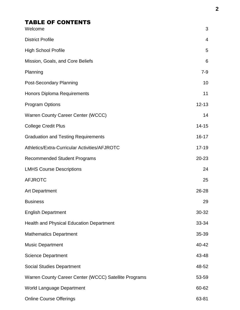# TABLE OF CONTENTS

| Welcome                                               | 3              |
|-------------------------------------------------------|----------------|
| <b>District Profile</b>                               | $\overline{4}$ |
| <b>High School Profile</b>                            | 5              |
| Mission, Goals, and Core Beliefs                      | 6              |
| Planning                                              | $7 - 9$        |
| <b>Post-Secondary Planning</b>                        | 10             |
| <b>Honors Diploma Requirements</b>                    | 11             |
| <b>Program Options</b>                                | $12 - 13$      |
| Warren County Career Center (WCCC)                    | 14             |
| <b>College Credit Plus</b>                            | $14 - 15$      |
| <b>Graduation and Testing Requirements</b>            | $16 - 17$      |
| Athletics/Extra-Curricular Activities/AFJROTC         | $17 - 19$      |
| <b>Recommended Student Programs</b>                   | 20-23          |
| <b>LMHS Course Descriptions</b>                       | 24             |
| <b>AFJROTC</b>                                        | 25             |
| <b>Art Department</b>                                 | 26-28          |
| <b>Business</b>                                       | 29             |
| <b>English Department</b>                             | 30-32          |
| Health and Physical Education Department              | 33-34          |
| <b>Mathematics Department</b>                         | 35-39          |
| <b>Music Department</b>                               | 40-42          |
| <b>Science Department</b>                             | 43-48          |
| <b>Social Studies Department</b>                      | 48-52          |
| Warren County Career Center (WCCC) Satellite Programs | 53-59          |
| World Language Department                             | 60-62          |
| <b>Online Course Offerings</b>                        | 63-81          |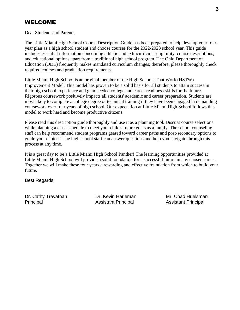# WELCOME

Dear Students and Parents,

The Little Miami High School Course Description Guide has been prepared to help develop your fouryear plan as a high school student and choose courses for the 2022-2023 school year. This guide includes essential information concerning athletic and extracurricular eligibility, course descriptions, and educational options apart from a traditional high school program. The Ohio Department of Education (ODE) frequently makes mandated curriculum changes; therefore, please thoroughly check required courses and graduation requirements.

Little Miami High School is an original member of the High Schools That Work (HSTW) Improvement Model. This model has proven to be a solid basis for all students to attain success in their high school experience and gain needed college and career readiness skills for the future. Rigorous coursework positively impacts all students' academic and career preparation. Students are most likely to complete a college degree or technical training if they have been engaged in demanding coursework over four years of high school. Our expectation at Little Miami High School follows this model to work hard and become productive citizens.

Please read this description guide thoroughly and use it as a planning tool. Discuss course selections while planning a class schedule to meet your child's future goals as a family. The school counseling staff can help recommend student programs geared toward career paths and post-secondary options to guide your choices. The high school staff can answer questions and help you navigate through this process at any time.

It is a great day to be a Little Miami High School Panther! The learning opportunities provided at Little Miami High School will provide a solid foundation for a successful future in any chosen career. Together we will make these four years a rewarding and effective foundation from which to build your future.

Best Regards,

Dr. Cathy Trevathan **Dr. Kevin Harleman** Mr. Chad Huelsman Principal Assistant Principal Assistant Principal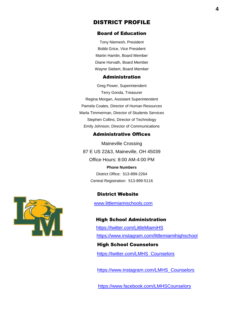#### DISTRICT PROFILE

#### Board of Education

Tony Niemesh, President Bobbi Grice, Vice President Martin Hamlin, Board Member Diane Horvath, Board Member Wayne Siebert, Board Member

#### Administration

Greg Power, Superintendent Terry Gonda, Treasurer Regina Morgan, Assistant Superintendent Pamela Coates, Director of Human Resources Marla Timmerman, Director of Students Services Stephen Collins, Director of Technology Emily Johnson, Director of Communications

#### Administrative Offices

Maineville Crossing 87 E US 22&3, Maineville, OH 45039 Office Hours: 8:00 AM-4:00 PM **Phone Numbers**

District Office: 513-899-2264 Central Registration: 513-899-5116

# District Website

www.littlemiamischools.com

#### High School Administration

 https://twitter.com/LittleMiamiHS https://www.instagram.com/littlemiamihighschool High School Counselors

https://twitter.com/LMHS\_Counselors

https://www.instagram.com/LMHS\_Counselors

https://www.facebook.com/LMHSCounselors

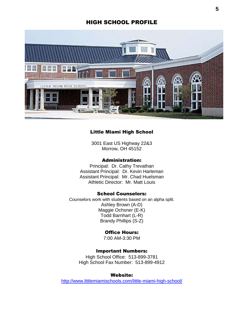#### HIGH SCHOOL PROFILE



#### Little Miami High School

3001 East US Highway 22&3 Morrow, OH 45152

#### Administration:

Principal: Dr. Cathy Trevathan Assistant Principal: Dr. Kevin Harleman Assistant Principal: Mr. Chad Huelsman Athletic Director: Mr. Matt Louis

#### School Counselors:

Counselors work with students based on an alpha split. Ashley Brown (A-D) Maggie Ochsner (E-K) Todd Barnhart (L-R) Brandy Phillips (S-Z)

#### Office Hours:

7:00 AM-3:30 PM

#### Important Numbers:

High School Office: 513-899-3781 High School Fax Number: 513-899-4912

#### Website:

<http://www.littlemiamischools.com/little-miami-high-school/>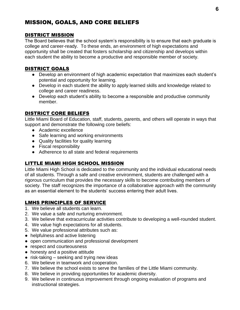# MISSION, GOALS, AND CORE BELIEFS

#### DISTRICT MISSION

The Board believes that the school system's responsibility is to ensure that each graduate is college and career-ready. To these ends, an environment of high expectations and opportunity shall be created that fosters scholarship and citizenship and develops within each student the ability to become a productive and responsible member of society.

#### DISTRICT GOALS

- Develop an environment of high academic expectation that maximizes each student's potential and opportunity for learning.
- Develop in each student the ability to apply learned skills and knowledge related to college and career readiness.
- Develop each student's ability to become a responsible and productive community member.

#### DISTRICT CORE BELIEFS

Little Miami Board of Education, staff, students, parents, and others will operate in ways that support and demonstrate the following core beliefs:

- Academic excellence
- Safe learning and working environments
- Quality facilities for quality learning
- Fiscal responsibility
- Adherence to all state and federal requirements

#### LITTLE MIAMI HIGH SCHOOL MISSION

Little Miami High School is dedicated to the community and the individual educational needs of all students. Through a safe and creative environment, students are challenged with a rigorous curriculum that provides the necessary skills to become contributing members of society. The staff recognizes the importance of a collaborative approach with the community as an essential element to the students' success entering their adult lives.

#### LMHS PRINCIPLES OF SERVICE

- 1. We believe all students can learn.
- 2. We value a safe and nurturing environment.
- 3. We believe that extracurricular activities contribute to developing a well-rounded student.
- 4. We value high expectations for all students.
- 5. We value professional attributes such as:
- helpfulness and active listening
- open communication and professional development
- respect and courteousness
- honesty and a positive attitude
- risk-taking seeking and trying new ideas
- 6. We believe in teamwork and cooperation.
- 7. We believe the school exists to serve the families of the Little Miami community.
- 8. We believe in providing opportunities for academic diversity.
- 9. We believe in continuous improvement through ongoing evaluation of programs and instructional strategies.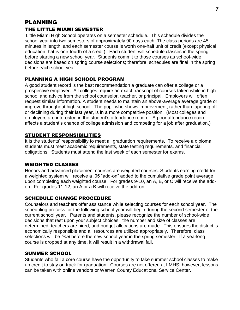# PLANNING THE LITTLE MIAMI SEMESTER

Little Miami High School operates on a semester schedule. This schedule divides the school year into two semesters of approximately 90 days each. The class periods are 45 minutes in length, and each semester course is worth one-half unit of credit (except physical education that is one-fourth of a credit). Each student will schedule classes in the spring before starting a new school year. Students commit to those courses as school-wide decisions are based on spring course selections; therefore, schedules are final in the spring before each school year.

# PLANNING A HIGH SCHOOL PROGRAM

A good student record is the best recommendation a graduate can offer a college or a prospective employer. All colleges require an exact transcript of courses taken while in high school and advice from the school counselor, teacher, or principal. Employers will often request similar information. A student needs to maintain an above-average average grade or improve throughout high school. The pupil who shows improvement, rather than tapering off or declining during their last year, is in a more competitive position. (Most colleges and employers are interested in the student's attendance record. A poor attendance record affects a student's chance of college admission and competing for a job after graduation.)

# STUDENT RESPONSIBILITIES

It is the students' responsibility to meet all graduation requirements. To receive a diploma, students must meet academic requirements, state testing requirements, and financial obligations. Students must attend the last week of each semester for exams.

# WEIGHTED CLASSES

Honors and advanced placement courses are weighted courses. Students earning credit for a weighted system will receive a .05 "add-on" added to the cumulative grade point average upon completing each weighted course. For grades 9-10, an A, B, or C will receive the addon. For grades 11-12, an A or a B will receive the add-on.

# SCHEDULE CHANGE PROCEDURE

Counselors and teachers offer assistance while selecting courses for each school year. The scheduling process for the following school year will begin during the second semester of the current school year. Parents and students, please recognize the number of school-wide decisions that rest upon your subject choices: the number and size of classes are determined, teachers are hired, and budget allocations are made. This ensures the district is economically responsible and all resources are utilized appropriately. Therefore, class selections will be *final* before the new school year in the spring semester. If a yearlong course is dropped at any time, it will result in a withdrawal fail.

#### SUMMER SCHOOL

Students who fail a core course have the opportunity to take summer school classes to make up credit to stay on track for graduation. Courses are not offered at LMHS; however, lessons can be taken with online vendors or Warren County Educational Service Center.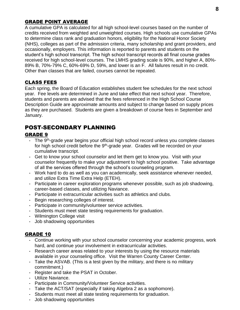#### GRADE POINT AVERAGE

A cumulative GPA is calculated for all high school-level courses based on the number of credits received from weighted and unweighted courses. High schools use cumulative GPAs to determine class rank and graduation honors, eligibility for the National Honor Society (NHS), colleges as part of the admission criteria, many scholarship and grant providers, and occasionally, employers. This information is reported to parents and students on the student's high school transcript. The high school transcript records all final course grades received for high school-level courses. The LMHS grading scale is 90%, and higher A, 80%- 89% B, 70%-79% C, 60%-69% D, 59%, and lower is an F. All failures result in no credit. Other than classes that are failed, courses cannot be repeated.

#### CLASS FEES

Each spring, the Board of Education establishes student fee schedules for the next school year. Fee levels are determined in June and take effect that next school year. Therefore, students and parents are advised that the fees referenced in the High School Course Description Guide are approximate amounts and subject to change based on supply prices as they are purchased. Students are given a breakdown of course fees in September and January.

# POST-SECONDARY PLANNING

#### GRADE 9

- The 9<sup>th</sup>-grade year begins your official high school record unless you complete classes for high school credit before the 9<sup>th</sup>-grade year. Grades will be recorded on your cumulative transcript.
- Get to know your school counselor and let them get to know you. Visit with your counselor frequently to make your adjustment to high school positive. Take advantage of all the services offered through the school's counseling program.
- Work hard to do as well as you can academically, seek assistance whenever needed, and utilize Extra Time Extra Help (ETEH).
- Participate in career exploration programs whenever possible, such as job shadowing, career-based classes, and utilizing Naviance.
- Participate in extracurricular activities such as athletics and clubs.
- Begin researching colleges of interest.
- Participate in community/volunteer service activities.
- Students must meet state testing requirements for graduation.
- Wilmington College visit
- Job shadowing opportunities

#### GRADE 10

- Continue working with your school counselor concerning your academic progress, work hard, and continue your involvement in extracurricular activities.
- Research career areas related to your interests by using the resource materials available in your counseling office. Visit the Warren County Career Center.
- Take the ASVAB. (This is a test given by the military, and there is no military commitment.)
- Register and take the PSAT in October.
- Utilize Naviance.
- Participate in Community/Volunteer Service activities.
- Take the ACT/SAT (especially if taking Algebra 2 as a sophomore).
- Students must meet all state testing requirements for graduation.
- Job shadowing opportunities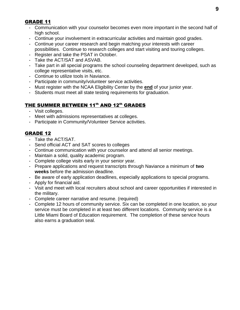## GRADE 11

- Communication with your counselor becomes even more important in the second half of high school.
- Continue your involvement in extracurricular activities and maintain good grades.
- Continue your career research and begin matching your interests with career possibilities. Continue to research colleges and start visiting and touring colleges.
- Register and take the PSAT in October.
- Take the ACT/SAT and ASVAB.
- Take part in all special programs the school counseling department developed, such as college representative visits, etc.
- Continue to utilize tools in Naviance.
- Participate in community/volunteer service activities.
- Must register with the NCAA Eligibility Center by the **end** of your junior year.
- Students must meet all state testing requirements for graduation.

# THE SUMMER BETWEEN 11th AND 12th GRADES

- Visit colleges.
- Meet with admissions representatives at colleges.
- Participate in Community/Volunteer Service activities.

# GRADE 12

- Take the ACT/SAT.
- Send official ACT and SAT scores to colleges
- Continue communication with your counselor and attend all senior meetings.
- Maintain a solid, quality academic program.
- Complete college visits early in your senior year.
- Prepare applications and request transcripts through Naviance a minimum of **two weeks** before the admission deadline.
- Be aware of early application deadlines, especially applications to special programs.
- Apply for financial aid.
- Visit and meet with local recruiters about school and career opportunities if interested in the military.
- Complete career narrative and resume. (required)
- Complete 12 hours of community service. Six can be completed in one location, so your service must be completed in at least two different locations. Community service is a Little Miami Board of Education requirement. The completion of these service hours also earns a graduation seal.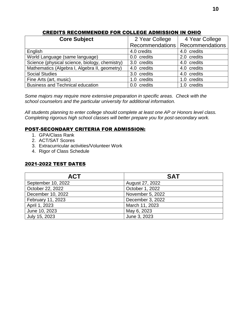## CREDITS RECOMMENDED FOR COLLEGE ADMISSION IN OHIO

| <b>Core Subject</b>                            | 2 Year College  | 4 Year College         |
|------------------------------------------------|-----------------|------------------------|
|                                                | Recommendations | <b>Recommendations</b> |
| English                                        | 4.0 credits     | 4.0 credits            |
| World Language (same language)                 | 0.0 credits     | 2.0 credits            |
| Science (physical science, biology, chemistry) | 3.0 credits     | 4.0 credits            |
| Mathematics (Algebra I, Algebra II, geometry)  | 4.0 credits     | 4.0 credits            |
| <b>Social Studies</b>                          | 3.0 credits     | 4.0 credits            |
| Fine Arts (art, music)                         | 1.0 credits     | 1.0 credits            |
| <b>Business and Technical education</b>        | 0.0 credits     | 1.0 credits            |

*Some majors may require more extensive preparation in specific areas. Check with the school counselors and the particular university for additional information.*

*All students planning to enter college should complete at least one AP or Honors level class. Completing rigorous high school classes will better prepare you for post-secondary work.*

#### POST-SECONDARY CRITERIA FOR ADMISSION:

- 1. GPA/Class Rank
- 2. ACT/SAT Scores
- 3. Extracurricular activities/Volunteer Work
- 4. Rigor of Class Schedule

# 2021-2022 TEST DATES

| <b>ACT</b>         | <b>SAT</b>       |
|--------------------|------------------|
| September 10, 2022 | August 27, 2022  |
| October 22, 2022   | October 1, 2022  |
| December 10, 2022  | November 5, 2022 |
| February 11, 2023  | December 3, 2022 |
| April 1, 2023      | March 11, 2023   |
| June 10, 2023      | May 6, 2023      |
| July 15, 2023      | June 3, 2023     |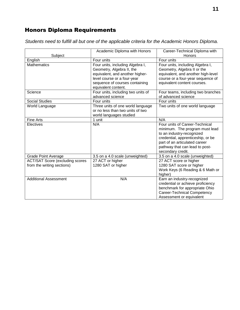# Honors Diploma Requirements

*Students need to fulfill all but one of the applicable criteria for the Academic Honors Diploma.*

| Subject                                                               | Academic Diploma with Honors                                                                                                                                                             | Career-Technical Diploma with<br>Honors                                                                                                                                                                                    |
|-----------------------------------------------------------------------|------------------------------------------------------------------------------------------------------------------------------------------------------------------------------------------|----------------------------------------------------------------------------------------------------------------------------------------------------------------------------------------------------------------------------|
| English                                                               | Four units                                                                                                                                                                               | Four units                                                                                                                                                                                                                 |
| <b>Mathematics</b>                                                    | Four units, including Algebra I,<br>Geometry, Algebra II, the<br>equivalent, and another higher-<br>level course or a four-year<br>sequence of courses containing<br>equivalent content. | Four units, including Algebra I,<br>Geometry, Algebra II or the<br>equivalent, and another high-level<br>course or a four-year sequence of<br>equivalent content courses.                                                  |
| Science                                                               | Four units, including two units of<br>advanced science                                                                                                                                   | Four teams, including two branches<br>of advanced science                                                                                                                                                                  |
| <b>Social Studies</b>                                                 | Four units                                                                                                                                                                               | Four units                                                                                                                                                                                                                 |
| World Language                                                        | Three units of one world language<br>or no less than two units of two<br>world languages studied                                                                                         | Two units of one world language                                                                                                                                                                                            |
| <b>Fine Arts</b>                                                      | 1 unit                                                                                                                                                                                   | N/A                                                                                                                                                                                                                        |
| Electives                                                             | N/A                                                                                                                                                                                      | Four units of Career-Technical<br>minimum. The program must lead<br>to an industry-recognized<br>credential, apprenticeship, or be<br>part of an articulated career<br>pathway that can lead to post-<br>secondary credit. |
| <b>Grade Point Average</b>                                            | 3.5 on a 4.0 scale (unweighted)                                                                                                                                                          | 3.5 on a 4.0 scale (unweighted)                                                                                                                                                                                            |
| <b>ACT/SAT Score (excluding scores)</b><br>from the writing sections) | 27 ACT or higher<br>1280 SAT or higher                                                                                                                                                   | 27 ACT score or higher<br>1280 SAT score or higher<br>Work Keys (6 Reading & 6 Math or<br>higher)                                                                                                                          |
| <b>Additional Assessment</b>                                          | N/A                                                                                                                                                                                      | Earn an industry-recognized<br>credential or achieve proficiency<br>benchmark for appropriate Ohio<br>Career-Technical Competency<br>Assessment or equivalent                                                              |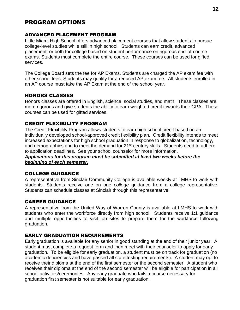# PROGRAM OPTIONS

#### ADVANCED PLACEMENT PROGRAM

Little Miami High School offers advanced placement courses that allow students to pursue college-level studies while still in high school. Students can earn credit, advanced placement, or both for college based on student performance on rigorous end-of-course exams. Students must complete the entire course. These courses can be used for gifted services.

The College Board sets the fee for AP Exams. Students are charged the AP exam fee with other school fees. Students may qualify for a reduced AP exam fee. All students enrolled in an AP course must take the AP Exam at the end of the school year.

#### HONORS CLASSES

Honors classes are offered in English, science, social studies, and math. These classes are more rigorous and give students the ability to earn weighted credit towards their GPA. These courses can be used for gifted services.

#### CREDIT FLEXIBILITY PROGRAM

The Credit Flexibility Program allows students to earn high school credit based on an individually developed school-approved credit flexibility plan. Credit flexibility intends to meet increased expectations for high school graduation in response to globalization, technology, and demographics and to meet the demand for 21<sup>st</sup>-century skills. Students need to adhere to application deadlines. See your school counselor for more information. *Applications for this program must be submitted at least two weeks before the* 

*beginning of each semester.*

#### COLLEGE GUIDANCE

A representative from Sinclair Community College is available weekly at LMHS to work with students. Students receive one on one *college* guidance from a college representative. Students can schedule classes at Sinclair through this representative.

#### CAREER GUIDANCE

A representative from the United Way of Warren County is available at LMHS to work with students who enter the workforce directly from high school. Students receive 1:1 guidance and multiple opportunities to visit job sites to prepare them for the workforce following graduation.

#### EARLY GRADUATION REQUIREMENTS

Early graduation is available for any senior in good standing at the end of their junior year. A student must complete a request form and then meet with their counselor to apply for early graduation. To be eligible for early graduation, a student must be on track for graduation (no academic deficiencies and have passed all state testing requirements). A student may opt to receive their diploma at the end of the first semester or the second semester. A student who receives their diploma at the end of the second semester will be eligible for participation in all school activities/ceremonies. Any early graduate who fails a course necessary for graduation first semester is not suitable for early graduation.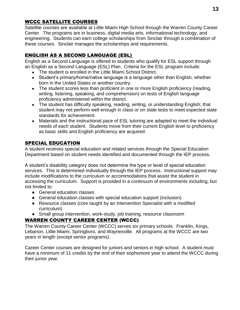# WCCC SATELLITE COURSES

Satellite courses are available at Little Miami High School through the Warren County Career Center. The programs are in business, digital media arts, informational technology, and engineering. Students can earn college scholarships from Sinclair through a combination of these courses. Sinclair manages the scholarships and requirements.

# ENGLISH AS A SECOND LANGUAGE (ESL)

English as a Second Language is offered to students who qualify for ESL support through an English as a Second Language (ESL) Plan. Criteria for the ESL program include:

- The student is enrolled in the Little Miami School District.
- Student's primary/home/native language is a language other than English, whether born in the United States or another country.
- The student scores less than proficient in one or more English proficiency (reading, writing, listening, speaking, and comprehension) on tests of English language proficiency administered within the district.
- The student has difficulty speaking, reading, writing, or understanding English; that student may not perform well enough in class or on state tests to meet expected state standards for achievement.
- Materials and the instructional pace of ESL tutoring are adapted to meet the individual needs of each student. Students move from their current English level to proficiency as basic skills and English proficiency are acquired.

# SPECIAL EDUCATION

A student receives special education and related services through the Special Education Department based on student needs identified and documented through the IEP process.

A student's disability category does not determine the type or level of special education services. This is determined individually through the IEP process. Instructional support may include modifications to the curriculum or accommodations that assist the student in accessing the curriculum. Support is provided in a continuum of environments including, but not limited to:

- General education classes
- General education classes with special education support (inclusion)
- Resource classes (core taught by an Intervention Specialist with a modified curriculum)
- Small group intervention, work-study, job training, resource classroom

# WARREN COUNTY CAREER CENTER (WCCC)

The Warren County Career Center (WCCC) serves six primary schools: Franklin, Kings, Lebanon, Little Miami, Springboro, and Waynesville. All programs at the WCCC are two years in length (except senior programs).

Career Center courses are designed for juniors and seniors in high school. A student must have a minimum of 11 credits by the end of their sophomore year to attend the WCCC during their junior year.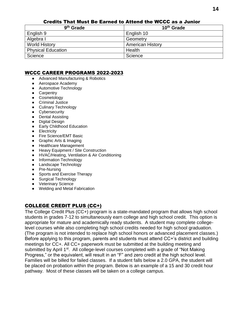| 9 <sup>th</sup> Grade     | 10 <sup>th</sup> Grade  |
|---------------------------|-------------------------|
| English 9                 | English 10              |
| Algebra I                 | Geometry                |
| <b>World History</b>      | <b>American History</b> |
| <b>Physical Education</b> | Health                  |
| Science                   | Science                 |

#### Credits That Must Be Earned to Attend the WCCC as a Junior

#### WCCC CAREER PROGRAMS 2022-2023

- [Advanced Manufacturing & Robotics](https://www.mywccc.org/AdvancedMfgRobotics.aspx)
- [Aerospace Academy](https://www.mywccc.org/aerospaceacademy.aspx)
- [Automotive Technology](https://www.mywccc.org/AutomotiveTechnology.aspx)
- [Carpentry](https://www.mywccc.org/carpentry.aspx)
- [Cosmetology](https://www.mywccc.org/hscosmetology.aspx)
- [Criminal Justice](https://www.mywccc.org/CriminalJustice.aspx)
- [Culinary Technology](https://www.mywccc.org/CulinaryTechnology.aspx)
- **•** [Cybersecurity](https://www.mywccc.org/Cybersecurity.aspx)
- [Dental Assisting](https://www.mywccc.org/DentalAssisting.aspx)
- [Digital Design](https://www.mywccc.org/DigitalDesign.aspx)
- [Early Childhood Education](https://www.mywccc.org/EarlyChildhoodEducation.aspx)
- **•** [Electricity](https://www.mywccc.org/Electricity.aspx)
- [Fire Science/EMT Basic](https://www.mywccc.org/FireScienceEMTBasic.aspx)
- [Graphic Arts & Imaging](https://www.mywccc.org/GraphicsArts.aspx)
- [Healthcare Management](https://www.mywccc.org/HealthcareManagement.aspx)
- [Heavy Equipment / Site Construction](https://www.mywccc.org/HeavyEquipmentSiteConstruction.aspx)
- [HVAC/Heating, Ventilation & Air Conditioning](https://www.mywccc.org/HVAC.aspx)
- [Information Technology](https://www.mywccc.org/InformationTechnology1.aspx)
- [Landscape Technology](https://www.mywccc.org/Landscape.aspx)
- [Pre-Nursing](https://www.mywccc.org/PreNursing.aspx)
- [Sports and Exercise Therapy](https://www.mywccc.org/SportsMedicine.aspx)
- [Surgical Technology](https://www.mywccc.org/SurgicalTechnology.aspx)
- [Veterinary Science](https://www.mywccc.org/VeterinaryScience.aspx)
- [Welding and Metal Fabrication](https://www.mywccc.org/WeldingandMetalFabrication.aspx)

#### COLLEGE CREDIT PLUS (CC+)

The College Credit Plus (CC+) program is a state-mandated program that allows high school students in grades 7-12 to simultaneously earn college and high school credit. This option is appropriate for mature and academically ready students. A student may complete collegelevel courses while also completing high school credits needed for high school graduation. (The program is not intended to replace high school honors or advanced placement classes.) Before applying to this program, parents and students must attend CC+'s district and building meetings for CC+. All CC+ paperwork must be submitted at the building meeting and submitted by April 1<sup>st</sup>. All college-level courses completed with a grade of "Not Making" Progress," or the equivalent, will result in an "F" and zero credit at the high school level. Families will be billed for failed classes. If a student falls below a 2.0 GPA, the student will be placed on probation within the program. Below is an example of a 15 and 30 credit hour pathway. Most of these classes will be taken on a college campus.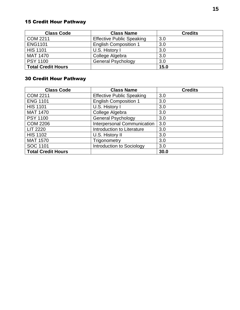# 15 Credit Hour Pathway

| <b>Class Code</b>         | <b>Class Name</b>                | <b>Credits</b> |
|---------------------------|----------------------------------|----------------|
| <b>COM 2211</b>           | <b>Effective Public Speaking</b> | 3.0            |
| <b>ENG1101</b>            | <b>English Composition 1</b>     | 3.0            |
| <b>HIS 1101</b>           | U.S. History I                   | 3.0            |
| <b>MAT 1470</b>           | College Algebra                  | 3.0            |
| <b>PSY 1100</b>           | <b>General Psychology</b>        | 3.0            |
| <b>Total Credit Hours</b> |                                  | 15.0           |

# 30 Credit Hour Pathway

| <b>Class Code</b>         | <b>Class Name</b>                | <b>Credits</b> |
|---------------------------|----------------------------------|----------------|
| <b>COM 2211</b>           | <b>Effective Public Speaking</b> | 3.0            |
| <b>ENG 1101</b>           | <b>English Composition 1</b>     | 3.0            |
| <b>HIS 1101</b>           | U.S. History I                   | 3.0            |
| <b>MAT 1470</b>           | College Algebra                  | 3.0            |
| <b>PSY 1100</b>           | <b>General Psychology</b>        | 3.0            |
| <b>COM 2206</b>           | Interpersonal Communication      | 3.0            |
| <b>LIT 2220</b>           | Introduction to Literature       | 3.0            |
| <b>HIS 1102</b>           | U.S. History II                  | 3.0            |
| <b>MAT 1570</b>           | Trigonometry                     | 3.0            |
| SOC 1101                  | Introduction to Sociology        | 3.0            |
| <b>Total Credit Hours</b> |                                  | 30.0           |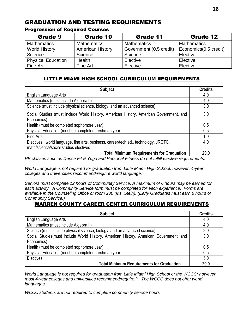# GRADUATION AND TESTING REQUIREMENTS

| Grade 9                   | Grade 10                | Grade 11                | Grade 12              |
|---------------------------|-------------------------|-------------------------|-----------------------|
| <b>Mathematics</b>        | <b>Mathematics</b>      | <b>Mathematics</b>      | <b>Mathematics</b>    |
| <b>World History</b>      | <b>American History</b> | Government (0.5 credit) | Economics(0.5 credit) |
| Science                   | Science                 | Science                 | Elective              |
| <b>Physical Education</b> | Health                  | Elective                | Elective              |
| Fine Art                  | Fine Art                | Elective                | Elective              |

#### Progression of Required Courses

## LITTLE MIAMI HIGH SCHOOL CURRICULUM REQUIREMENTS

| <b>Subject</b>                                                                         | <b>Credits</b> |
|----------------------------------------------------------------------------------------|----------------|
| English Language Arts                                                                  | 4.0            |
| Mathematics (must include Algebra II)                                                  | 4.0            |
| Science (must include physical science, biology, and an advanced science)              | 3.0            |
| Social Studies (must include World History, American History, American Government, and | 3.0            |
| Economics)                                                                             |                |
| Health (must be completed sophomore year)                                              | 0.5            |
| Physical Education (must be completed freshman year)                                   | 0.5            |
| Fine Arts                                                                              | 1.0            |
| Electives: world language, fine arts, business, career/tech ed., technology, JROTC,    | 4.0            |
| math/science/social studies electives                                                  |                |
| <b>Total Minimum Requirements for Graduation</b>                                       | 20.0           |

*PE classes such as Dance Fit & Yoga and Personal Fitness do not fulfill elective requirements.* 

*World Language is not required for graduation from Little Miami High School; however, 4-year colleges and universities recommend/require world language.*

*Seniors must complete 12 hours of Community Service. A maximum of 6 hours may be earned for each activity. A Community Service form must be completed for each experience. Forms are available in the Counseling Office or room 230 (Ms. Stein). (Early Graduates must earn 6 hours of Community Service.)*

#### WARREN COUNTY CAREER CENTER CURRICULUM REQUIREMENTS

| <b>Subject</b>                                                                         | <b>Credits</b> |
|----------------------------------------------------------------------------------------|----------------|
| English Language Arts                                                                  | 4.0            |
| Mathematics (must include Algebra II)                                                  | 4.0            |
| Science (must include physical science, biology, and an advanced science)              | 3.0            |
| Social Studies (must include World History, American History, American Government, and | 3.0            |
| Economics)                                                                             |                |
| Health (must be completed sophomore year)                                              | 0.5            |
| Physical Education (must be completed freshman year)                                   | 0.5            |
| Electives                                                                              | 5.0            |
| <b>Total Minimum Requirements for Graduation</b>                                       | 20.0           |

*World Language is not required for graduation from Little Miami High School or the WCCC; however, most 4-year colleges and universities recommend/require it. The WCCC does not offer world languages.* 

*WCCC students are not required to complete community service hours.*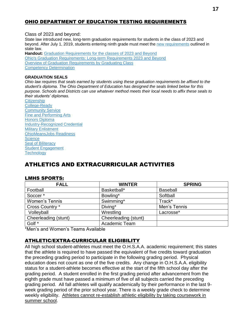#### OHIO DEPARTMENT OF EDUCATION TESTING REQUIREMENTS

Class of 2023 and beyond:

State law introduced new, long-term graduation requirements for students in the class of 2023 and beyond. After July 1, 2019, students entering ninth grade must meet the [new requirements](https://education.ohio.gov/getattachment/Topics/Ohio-s-Graduation-Requirements/Sections/Classes-of-2023-and-Beyond-Graduation-Requirements/GradReq2023.pdf.aspx?lang=en-US) outlined in state law.

**Handout:** [Graduation Requirements for the classes of 2023 and Beyond](https://education.ohio.gov/getattachment/Topics/Ohio-s-Graduation-Requirements/Sections/Classes-of-2023-and-Beyond-Graduation-Requirements/GradReq2023.pdf.aspx?lang=en-US) [Ohio's Graduation Requirements: Long-term Requirements 2023 and Beyond](http://education.ohio.gov/getattachment/Topics/Ohio-s-Graduation-Requirements/Ohio-s-Graduation-Requirements_Long-term-Requirements-2023-and-Beyond.pdf.aspx?lang=en-US) [Overview of Graduation Requirements by Graduating Class](http://education.ohio.gov/getattachment/Topics/Ohio-s-Graduation-Requirements/Graduation-Req-by-Cohort-Overview.pdf.aspx) [Competency Determination](http://education.ohio.gov/getattachment/Topics/Ohio-s-Graduation-Requirements/Competency-Determination.pdf.aspx?lang=en-US)

#### **GRADUATION SEALS**

*Ohio law requires that seals earned by students using these graduation requirements be affixed to the student's diploma. The Ohio Department of Education has designed the seals linked below for this purpose. Schools and Districts can use whatever method meets their local needs to affix these seals to their students' diplomas.*

**[Citizenship](https://education.ohio.gov/getattachment/Topics/Ohio-s-Graduation-Requirements/Sections/Classes-of-2023-and-Beyond-Graduation-Requirements/Citizenship.png.aspx?lang=en-US)** [College-Ready](https://education.ohio.gov/getattachment/Topics/Ohio-s-Graduation-Requirements/Sections/Classes-of-2023-and-Beyond-Graduation-Requirements/College-Ready.png.aspx?lang=en-US) [Community Service](https://education.ohio.gov/getattachment/Topics/Ohio-s-Graduation-Requirements/Sections/Classes-of-2023-and-Beyond-Graduation-Requirements/Community-Service.png.aspx?lang=en-US) [Fine and Performing Arts](https://education.ohio.gov/getattachment/Topics/Ohio-s-Graduation-Requirements/Sections/Classes-of-2023-and-Beyond-Graduation-Requirements/Fine-and-Performing-Arts.png.aspx?lang=en-US) [Honors Diploma](https://education.ohio.gov/getattachment/Topics/Ohio-s-Graduation-Requirements/Sections/Classes-of-2023-and-Beyond-Graduation-Requirements/Honors-diploma.png.aspx?lang=en-US) [Industry-Recognized Credential](https://education.ohio.gov/getattachment/Topics/Ohio-s-Graduation-Requirements/Sections/Classes-of-2023-and-Beyond-Graduation-Requirements/Industry-Recognized-Credential.png.aspx?lang=en-US) [Military Enlistment](https://education.ohio.gov/getattachment/Topics/Ohio-s-Graduation-Requirements/Sections/Classes-of-2023-and-Beyond-Graduation-Requirements/Military-Enlistment.png.aspx?lang=en-US) [OhioMeansJobs Readiness](https://education.ohio.gov/getattachment/Topics/Ohio-s-Graduation-Requirements/Sections/Classes-of-2023-and-Beyond-Graduation-Requirements/OhioMeansJobs-Readiness.png.aspx?lang=en-US) **[Science](https://education.ohio.gov/getattachment/Topics/Ohio-s-Graduation-Requirements/Sections/Classes-of-2023-and-Beyond-Graduation-Requirements/Science.png.aspx?lang=en-US)** [Seal of Biliteracy](https://education.ohio.gov/getattachment/Topics/Ohio-s-Graduation-Requirements/Sections/Classes-of-2023-and-Beyond-Graduation-Requirements/Seal-of-Biliteracy.png.aspx?lang=en-US) [Student Engagement](https://education.ohio.gov/getattachment/Topics/Ohio-s-Graduation-Requirements/Sections/Classes-of-2023-and-Beyond-Graduation-Requirements/Student-Engagement.png.aspx?lang=en-US) **[Technology](https://education.ohio.gov/getattachment/Topics/Ohio-s-Graduation-Requirements/Sections/Classes-of-2023-and-Beyond-Graduation-Requirements/Technology.png.aspx?lang=en-US)** 

# ATHLETICS AND EXTRACURRICULAR ACTIVITIES

#### LMHS SPORTS:

| <b>FALL</b>           | <b>WINTER</b>        | <b>SPRING</b>   |
|-----------------------|----------------------|-----------------|
| Football              | Basketball*          | <b>Baseball</b> |
| Soccer <sup>*</sup>   | Bowling*             | Softball        |
| <b>Women's Tennis</b> | Swimming*            | Track*          |
| Cross Country *       | Diving*              | Men's Tennis    |
| Volleyball            | Wrestling            | Lacrosse*       |
| Cheerleading (stunt)  | Cheerleading (stunt) |                 |
| Golf *                | Academic Team        |                 |

\*Men's and Women's Teams Available

#### ATHLETIC/EXTRA-CURRICULAR ELIGIBILITY

All high school student-athletes must meet the O.H.S.A.A. academic requirement; this states that the athlete is required to have passed the equivalent of five credits toward graduation the preceding grading period to participate in the following grading period. Physical education does not count as one of the five credits. Any change in O.H.S.A.A. eligibility status for a student-athlete becomes effective at the start of the fifth school day after the grading period. A student enrolled in the first grading period after advancement from the eighth grade must have passed a minimum of five of all subjects carried the preceding grading period. All fall athletes will qualify academically by their performance in the last 9 week grading period of the prior school year. There is a weekly grade check to determine weekly eligibility. Athletes cannot re-establish athletic eligibility by taking coursework in summer school.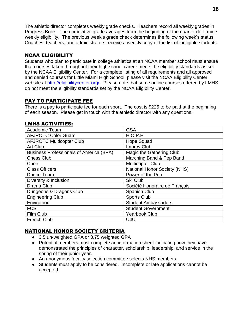The athletic director completes weekly grade checks. Teachers record all weekly grades in Progress Book. The cumulative grade averages from the beginning of the quarter determine weekly eligibility. The previous week's grade check determines the following week's status. Coaches, teachers, and administrators receive a weekly copy of the list of ineligible students.

#### NCAA ELIGIBILITY

Students who plan to participate in college athletics at an NCAA member school must ensure that courses taken throughout their high school career meets the eligibility standards as set by the NCAA Eligibility Center. For a complete listing of all requirements and all approved and denied courses for Little Miami High School, please visit the NCAA Eligibility Center website at [http://eligibilitycenter.org/.](http://eligibilitycenter.org/) Please note that some online courses offered by LMHS do not meet the eligibility standards set by the NCAA Eligibility Center.

## PAY TO PARTICIPATE FEE

There is a pay to participate fee for each sport. The cost is \$225 to be paid at the beginning of each season. Please get in touch with the athletic director with any questions.

#### LMHS ACTIVITIES:

| Academic Team                                  | <b>GSA</b>                          |
|------------------------------------------------|-------------------------------------|
| <b>AFJROTC Color Guard</b>                     | H.O.P.E                             |
| <b>AFJROTC Multicopter Club</b>                | <b>Hope Squad</b>                   |
| Art Club                                       | Improv Club                         |
| <b>Business Professionals of America (BPA)</b> | Magic the Gathering Club            |
| <b>Chess Club</b>                              | Marching Band & Pep Band            |
| Choir                                          | <b>Multicopter Club</b>             |
| <b>Class Officers</b>                          | <b>National Honor Society (NHS)</b> |
| Dance Team                                     | Power of the Pen                    |
| Diversity & Inclusion                          | Ski Club                            |
| Drama Club                                     | Société Honoraire de Français       |
| Dungeons & Dragons Club                        | <b>Spanish Club</b>                 |
| <b>Engineering Club</b>                        | <b>Sports Club</b>                  |
| Envirothon                                     | <b>Student Ambassadors</b>          |
| <b>FCS</b>                                     | <b>Student Government</b>           |
| Film Club                                      | <b>Yearbook Club</b>                |
| <b>French Club</b>                             | U4U                                 |

#### NATIONAL HONOR SOCIETY CRITERIA

- 3.5 un-weighted GPA or 3.75 weighted GPA
- Potential members must complete an information sheet indicating how they have demonstrated the principles of character, scholarship, leadership, and service in the spring of their junior year.
- An anonymous faculty selection committee selects NHS members.
- Students must apply to be considered. Incomplete or late applications cannot be accepted.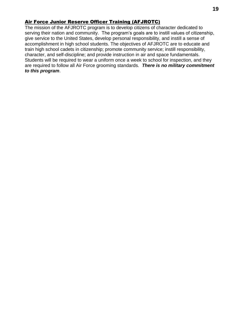#### Air Force Junior Reserve Officer Training (AFJROTC)

The mission of the AFJROTC program is to develop citizens of character dedicated to serving their nation and community. The program's goals are to instill values of citizenship, give service to the United States, develop personal responsibility, and instill a sense of accomplishment in high school students. The objectives of AFJROTC are to educate and train high school cadets in citizenship; promote community service; instill responsibility, character, and self-discipline; and provide instruction in air and space fundamentals. Students will be required to wear a uniform once a week to school for inspection, and they are required to follow all Air Force grooming standards. *There is no military commitment to this program*.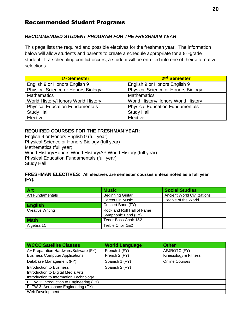# Recommended Student Programs

#### *RECOMMENDED STUDENT PROGRAM FOR THE FRESHMAN YEAR*

This page lists the required and possible electives for the freshman year. The information below will allow students and parents to create a schedule appropriate for a 9<sup>th</sup>-grade student. If a scheduling conflict occurs, a student will be enrolled into one of their alternative selections.

| 1 <sup>st</sup> Semester                  | 2 <sup>nd</sup> Semester                  |
|-------------------------------------------|-------------------------------------------|
| English 9 or Honors English 9             | English 9 or Honors English 9             |
| <b>Physical Science or Honors Biology</b> | <b>Physical Science or Honors Biology</b> |
| <b>Mathematics</b>                        | <b>Mathematics</b>                        |
| World History/Honors World History        | World History/Honors World History        |
| <b>Physical Education Fundamentals</b>    | <b>Physical Education Fundamentals</b>    |
| <b>Study Hall</b>                         | <b>Study Hall</b>                         |
| Elective                                  | Elective                                  |

#### **REQUIRED COURSES FOR THE FRESHMAN YEAR:**

English 9 or Honors English 9 (full year) Physical Science or Honors Biology (full year) Mathematics (full year) World History/Honors World History/AP World History (full year) Physical Education Fundamentals (full year) Study Hall

#### **FRESHMAN ELECTIVES: All electives are semester courses unless noted as a full year (FY).**

| <b>Art</b>              | <b>Music</b>               | <b>Social Studies</b>              |
|-------------------------|----------------------------|------------------------------------|
| Art Fundamentals        | <b>Beginning Guitar</b>    | <b>Ancient World Civilizations</b> |
|                         | Careers in Music           | People of the World                |
| <b>English</b>          | Concert Band (FY)          |                                    |
| <b>Creative Writing</b> | Rock and Roll Hall of Fame |                                    |
|                         | Symphonic Band (FY)        |                                    |
| <b>Math</b>             | Tenor-Bass Choir 1&2       |                                    |
| Algebra 1C              | Treble Choir 1&2           |                                    |

| <b>WCCC Satellite Classes</b>            | <b>World Language</b> | <b>Other</b>          |
|------------------------------------------|-----------------------|-----------------------|
| A+ Preparation Hardware/Software (FY)    | French 1 (FY)         | AFJROTC (FY)          |
| <b>Business Computer Applications</b>    | French 2 (FY)         | Kinesiology & Fitness |
| Database Management (FY)                 | Spanish 1 (FY)        | <b>Online Courses</b> |
| Introduction to Business                 | Spanish 2 (FY)        |                       |
| Introduction to Digital Media Arts       |                       |                       |
| Introduction to Information Technology   |                       |                       |
| PLTW 1: Introduction to Engineering (FY) |                       |                       |
| PLTW 3: Aerospace Engineering (FY)       |                       |                       |
| Web Development                          |                       |                       |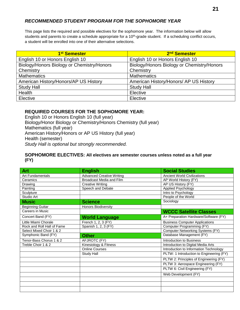#### *RECOMMENDED STUDENT PROGRAM FOR THE SOPHOMORE YEAR*

This page lists the required and possible electives for the sophomore year. The information below will allow students and parents to create a schedule appropriate for a 10<sup>th</sup>-grade student. If a scheduling conflict occurs, a student will be enrolled into one of their alternative selections.

| 1 <sup>st</sup> Semester                   | 2 <sup>nd</sup> Semester                   |
|--------------------------------------------|--------------------------------------------|
| English 10 or Honors English 10            | English 10 or Honors English 10            |
| Biology/Honors Biology or Chemistry/Honors | Biology/Honors Biology or Chemistry/Honors |
| Chemistry                                  | Chemistry                                  |
| <b>Mathematics</b>                         | <b>Mathematics</b>                         |
| American History/Honors/AP US History      | American History/Honors/ AP US History     |
| <b>Study Hall</b>                          | <b>Study Hall</b>                          |
| Health                                     | Elective                                   |
| Elective                                   | Elective                                   |

#### **REQUIRED COURSES FOR THE SOPHOMORE YEAR:**

English 10 or Honors English 10 (full year) Biology/Honor Biology or Chemistry/Honors Chemistry (full year) Mathematics (full year) American History/Honors or AP US History (full year) Health (semester) *Study Hall is optional but strongly recommended.*

#### **SOPHOMORE ELECTIVES: All electives are semester courses unless noted as a full year (FY)**

| <b>Art</b>                 | <b>English</b>                   | <b>Social Studies</b>                    |
|----------------------------|----------------------------------|------------------------------------------|
| <b>Art Fundamentals</b>    | <b>Advanced Creative Writing</b> | <b>Ancient World Civilizations</b>       |
| Ceramics                   | Broadcast Media and Film         | AP World History (FY)                    |
| Drawing                    | <b>Creative Writing</b>          | AP US History (FY)                       |
| Painting                   | Speech and Debate                | Applied Psychology                       |
| Sculpture                  |                                  | Intro to Psychology                      |
| Studio Art                 |                                  | People of the World                      |
| <b>Music</b>               | <b>Science</b>                   | Sociology                                |
| <b>Beginning Guitar</b>    | <b>Honors Biodiversity</b>       |                                          |
| Careers in Music           |                                  | <b>WCCC Satellite Classes</b>            |
| Concert Band (FY)          | <b>World Language</b>            | A+ Preparation Hardware/Software (FY)    |
| Little Miami Chorale       | French 1, 2, 3 (FY)              | <b>Business Computer Applications</b>    |
| Rock and Roll Hall of Fame | Spanish 1, 2, 3 (FY)             | Computer Programming (FY)                |
| Select Mixed Choir 1 & 2   |                                  | <b>Computer Networking Systems (FY)</b>  |
| Symphonic Band (FY)        | <b>Other</b>                     | Database Management (FY)                 |
| Tenor-Bass Chorus 1 & 2    | AFJROTC (FY)                     | Introduction to Business                 |
| Treble Choir 1 & 2         | Kinesiology & Fitness            | Introduction to Digital Media Arts       |
|                            | <b>Online Courses</b>            | Introduction to Information Technology   |
|                            | Study Hall                       | PLTW: 1 Introduction to Engineering (FY) |
|                            |                                  | PLTW 2: Principles of Engineering (FY)   |
|                            |                                  | PLTW 3: Aerospace Engineering (FY)       |
|                            |                                  | PLTW 6: Civil Engineering (FY)           |
|                            |                                  | Web Development (FY)                     |
|                            |                                  |                                          |
|                            |                                  |                                          |
|                            |                                  |                                          |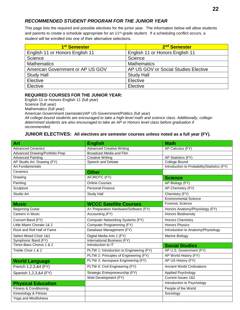#### *RECOMMENDED STUDENT PROGRAM FOR THE JUNIOR YEAR*

This page lists the required and possible electives for the junior year. The information below will allow students and parents to create a schedule appropriate for an 11<sup>th</sup>-grade student. If a scheduling conflict occurs, a student will be enrolled into one of their alternative selections.

| 1 <sup>st</sup> Semester         | 2 <sup>nd</sup> Semester             |
|----------------------------------|--------------------------------------|
| English 11 or Honors English 11  | English 11 or Honors English 11      |
| Science                          | Science                              |
| <b>Mathematics</b>               | <b>Mathematics</b>                   |
| American Government or AP US GOV | AP US GOV or Social Studies Elective |
| <b>Study Hall</b>                | <b>Study Hall</b>                    |
| Elective                         | Elective                             |
| Elective                         | Elective                             |

#### **REQUIRED COURSES FOR THE JUNIOR YEAR:**

English 11 or Honors English 11 (full year) Science (full year) Mathematics (full year) American Government (semester)/AP US Government/Politics (full year) *All college-bound students are encouraged to take a high-level math and science class. Additionally, collegedetermined students are also encouraged to take an AP or Honors level class before graduation if recommended.*

#### **JUNIOR ELECTIVES: All electives are semester courses unless noted as a full year (FY).**

| Art                                    | <b>English</b>                           | <b>Math</b>                                 |
|----------------------------------------|------------------------------------------|---------------------------------------------|
| <b>Advanced Ceramics</b>               | <b>Advanced Creative Writing</b>         | AP Calculus (FY)                            |
| <b>Advanced Drawing/Portfolio Prep</b> | <b>Broadcast Media and Film</b>          |                                             |
| <b>Advanced Painting</b>               | <b>Creative Writing</b>                  | AP Statistics (FY)                          |
| AP Studio Art: Drawing (FY)            | Speech and Debate                        | <b>College Bound</b>                        |
| <b>Art Fundamentals</b>                |                                          | Introduction to Probability/Statistics (FY) |
| Ceramics                               | <b>Other</b>                             |                                             |
| Drawing                                | AFJROTC (FY)                             | <b>Science</b>                              |
| Painting                               | <b>Online Courses</b>                    | AP Biology (FY)                             |
| Sculpture                              | <b>Personal Finance</b>                  | AP Chemistry (FY)                           |
| Studio Art                             | <b>Study Hall</b>                        | Chemistry (FY)                              |
|                                        |                                          | <b>Environmental Science</b>                |
| <b>Music</b>                           | <b>WCCC Satellite Courses</b>            | <b>Forensic Science</b>                     |
| <b>Beginning Guitar</b>                | A+ Preparation Hardware/Software (FY)    | Honors Anatomy/Physiology (FY)              |
| <b>Careers in Music</b>                | Accounting (FY)                          | Honors Biodiversity                         |
| Concert Band (FY)                      | <b>Computer Networking Systems (FY)</b>  | <b>Honors Chemistry</b>                     |
| Little Miami Chorale 1& 2              | Computer Programming (FY)                | <b>Honors Physics</b>                       |
| Rock and Roll Hall of Fame             | Database Management (FY)                 | Introduction to Anatomy/Physiology          |
| Select Mixed Choir 1&2                 | Digital Media Arts 1 (FY)                | <b>Marine Biology</b>                       |
| Symphonic Band (FY)                    | International Business (FY)              |                                             |
| Tenor-Bass Chorus 1 & 2                | Introduction to IT                       | <b>Social Studies</b>                       |
| Treble Choir 1 & 2                     | PLTW 1: Introduction to Engineering (FY) | AP U.S. Government (FY)                     |
|                                        | PLTW 2: Principles of Engineering (FY)   | AP World History (FY)                       |
| <b>World Language</b>                  | PLTW 3: Aerospace Engineering (FY)       | AP US History (FY)                          |
| French 1,2,3,&4 (FY)                   | PLTW 6: Civil Engineering (FY)           | <b>Ancient World Civilizations</b>          |
| Spanish 1,2,3,&4 (FY)                  | Strategic Entrepreneurship (FY)          | Applied Psychology                          |
|                                        | Web Development (FY)                     | Current Issues 1&2                          |
| <b>Physical Education</b>              |                                          | Introduction to Psychology                  |
| <b>Fitness &amp; Conditioning</b>      |                                          | People of the World                         |
| Kinesiology & Fitness                  |                                          | Sociology                                   |
| Yoga and Mindfulness                   |                                          |                                             |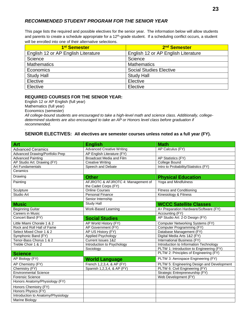#### *RECOMMENDED STUDENT PROGRAM FOR THE SENIOR YEAR*

This page lists the required and possible electives for the senior year. The information below will allow students and parents to create a schedule appropriate for a 12<sup>th</sup>-grade student. If a scheduling conflict occurs, a student will be enrolled into one of their alternative selections.

| 1 <sup>st</sup> Semester            | 2 <sup>nd</sup> Semester            |
|-------------------------------------|-------------------------------------|
| English 12 or AP English Literature | English 12 or AP English Literature |
| Science                             | Science                             |
| <b>Mathematics</b>                  | <b>Mathematics</b>                  |
| Economics                           | <b>Social Studies Elective</b>      |
| <b>Study Hall</b>                   | <b>Study Hall</b>                   |
| Elective                            | Elective                            |
| Elective                            | Elective                            |

#### **REQUIRED COURSES FOR THE SENIOR YEAR:**

English 12 or AP English (full year) Mathematics (full year) Economics (semester) *All college-bound students are encouraged to take a high-level math and science class. Additionally, collegedetermined students are also encouraged to take an AP or Honors level class before graduation if recommended. .* 

#### **SENIOR ELECTIVES: All electives are semester courses unless noted as a full year (FY).**

| Art                                | <b>English</b>                                             | <b>Math</b>                                |
|------------------------------------|------------------------------------------------------------|--------------------------------------------|
| <b>Advanced Ceramics</b>           | <b>Advanced Creative Writing</b>                           | AP Calculus (FY)                           |
| Advanced Drawing/Portfolio Prep    | AP English Literature (FY)                                 |                                            |
| <b>Advanced Painting</b>           | <b>Broadcast Media and Film</b>                            | AP Statistics (FY)                         |
| AP Studio Art: Drawing (FY)        | <b>Creative Writing</b>                                    | College Bound                              |
| <b>Art Fundamentals</b>            | Speech and Debate                                          | Intro to Probability/Statistics (FY)       |
| Ceramics                           |                                                            |                                            |
| Drawing                            | <b>Other</b>                                               | <b>Physical Education</b>                  |
| Painting                           | AFJROTC & AFJROTC 4: Management of<br>the Cadet Corps (FY) | Yoga and Mindfulness                       |
| Sculpture                          | <b>Online Courses</b>                                      | <b>Fitness and Conditioning</b>            |
| Studio Art                         | <b>Personal Finance</b>                                    | Kinesiology & Fitness                      |
|                                    | Senior Internship                                          |                                            |
| <b>Music</b>                       | <b>Study Hall</b>                                          | <b>WCCC Satellite Classes</b>              |
| <b>Beginning Guitar</b>            | Work-Based Learning                                        | A+ Preparation Hardware/Software (FY)      |
| <b>Careers in Music</b>            |                                                            | Accounting (FY)                            |
| Concert Band (FY)                  | <b>Social Studies</b>                                      | AP Studio Art: 2-D Design (FY)             |
| Little Miami Chorale 1 & 2         | AP World History (FY)                                      | Computer Networking Systems (FY)           |
| Rock and Roll Hall of Fame         | AP Government (FY)                                         | Computer Programming (FY)                  |
| Select Mixed Choir 1 & 2           | AP US History (FY)                                         | Database Management (FY)                   |
| Symphonic Band (FY)                | Applied Psychology                                         | Digital Media Arts 1&2 (FY)                |
| Tenor-Bass Chorus 1 & 2            | Current Issues 1&2                                         | International Business (FY)                |
| Treble Choir 1 & 2                 | Introduction to Psychology                                 | Introduction to Information Technology     |
|                                    | Sociology                                                  | PLTW 1: Introduction to Engineering (FY)   |
| <b>Science</b>                     |                                                            | PLTW 2: Principles of Engineering (FY)     |
| AP Biology (FY)                    | <b>World Language</b>                                      | PLTW 3: Aerospace Engineering (FY)         |
| AP Chemistry (FY)                  | French 1,2,3,4, & AP (FY)                                  | PLTW 5: Engineering Design and Development |
| Chemistry (FY)                     | Spanish 1,2,3,4, & AP (FY)                                 | PLTW 6: Civil Engineering (FY)             |
| <b>Environmental Science</b>       |                                                            | Strategic Entrepreneurship (FY)            |
| <b>Forensic Science</b>            |                                                            | Web Development (FY)                       |
| Honors Anatomy/Physiology (FY)     |                                                            |                                            |
| Honors Chemistry (FY)              |                                                            |                                            |
| Honors Physics (FY)                |                                                            |                                            |
| Introduction to Anatomy/Physiology |                                                            |                                            |
| <b>Marine Biology</b>              |                                                            |                                            |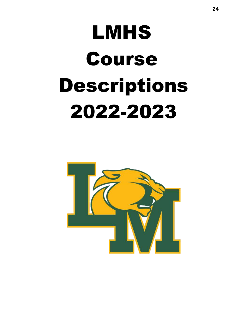# LMHS Course Descriptions 2022-2023

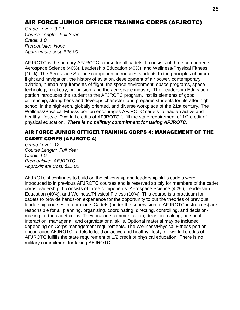# AIR FORCE JUNIOR OFFICER TRAINING CORPS (AFJROTC)

*Grade Level: 9-12 Course Length: Full Year Credit: 1.0 Prerequisite: None Approximate cost: \$25.00*

AFJROTC is the primary AFJROTC course for all cadets. It consists of three components: Aerospace Science (40%), Leadership Education (40%), and Wellness/Physical Fitness (10%). The Aerospace Science component introduces students to the principles of aircraft flight and navigation, the history of aviation, development of air power, contemporary aviation, human requirements of flight, the space environment, space programs, space technology, rocketry, propulsion, and the aerospace industry. The Leadership Education portion introduces the student to the AFJROTC program, instills elements of good citizenship, strengthens and develops character, and prepares students for life after high school in the high-tech, globally oriented, and diverse workplace of the 21st century. The Wellness/Physical Fitness portion encourages AFJROTC cadets to lead an active and healthy lifestyle. Two full credits of AFJROTC fulfill the state requirement of 1/2 credit of physical education. *There is no military commitment for taking AFJROTC.*

#### AIR FORCE JUNIOR OFFICER TRAINING CORPS 4: MANAGEMENT OF THE CADET CORPS (AFJROTC 4)

*Grade Level:  12 Course Length:  Full Year Credit: 1.0 Prerequisite:  AFJROTC Approximate Cost: \$25.00*

AFJROTC 4 continues to build on the citizenship and leadership skills cadets were introduced to in previous AFJROTC courses and is reserved strictly for members of the cadet corps leadership. It consists of three components: Aerospace Science (40%), Leadership Education (40%), and Wellness/Physical Fitness (10%). This course is a practicum for cadets to provide hands-on experience for the opportunity to put the theories of previous leadership courses into practice. Cadets (under the supervision of AFJROTC instructors) are responsible for all planning, organizing, coordinating, directing, controlling, and decisionmaking for the cadet corps. They practice communication, decision-making, personalinteraction, managerial, and organizational skills. Optional material may be included depending on Corps management requirements. The Wellness/Physical Fitness portion encourages AFJROTC cadets to lead an active and healthy lifestyle. Two full credits of AFJROTC fulfills the state requirement of 1/2 credit of physical education.  There is no military commitment for taking AFJROTC.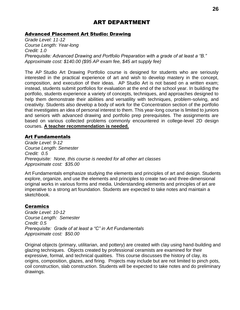# ART DEPARTMENT

#### Advanced Placement Art Studio: Drawing

*Grade Level: 11-12 Course Length: Year-long Credit: 1.0 Prerequisite: Advanced Drawing and Portfolio Preparation with a grade of at least a "B." Approximate cost: \$140.00 (\$95 AP exam fee, \$45 art supply fee)*

The AP Studio Art Drawing Portfolio course is designed for students who are seriously interested in the practical experience of art and wish to develop mastery in the concept, composition, and execution of their ideas. AP Studio Art is not based on a written exam; instead, students submit portfolios for evaluation at the end of the school year. In building the portfolio, students experience a variety of concepts, techniques, and approaches designed to help them demonstrate their abilities and versatility with techniques, problem-solving, and creativity. Students also develop a body of work for the Concentration section of the portfolio that investigates an idea of personal interest to them. This year-long course is limited to juniors and seniors with advanced drawing and portfolio prep prerequisites. The assignments are based on various collected problems commonly encountered in college-level 2D design courses. **A teacher recommendation is needed.**

#### Art Fundamentals

*Grade Level: 9-12 Course Length: Semester Credit: 0.5 Prerequisite: None, this course is needed for all other art classes Approximate cost: \$35.00*

Art Fundamentals emphasize studying the elements and principles of art and design. Students explore, organize, and use the elements and principles to create two-and three-dimensional original works in various forms and media. Understanding elements and principles of art are imperative to a strong art foundation. Students are expected to take notes and maintain a sketchbook.

#### Ceramics

*Grade Level: 10-12 Course Length: Semester Credit: 0.5 Prerequisite: Grade of at least a "C" in Art Fundamentals Approximate cost: \$50.00*

Original objects (primary, utilitarian, and pottery) are created with clay using hand-building and glazing techniques. Objects created by professional ceramists are examined for their expressive, formal, and technical qualities. This course discusses the history of clay, its origins, composition, glazes, and firing. Projects may include but are not limited to pinch pots, coil construction, slab construction. Students will be expected to take notes and do preliminary drawings.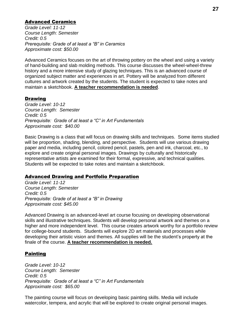#### Advanced Ceramics

*Grade Level: 11-12 Course Length: Semester Credit: 0.5 Prerequisite: Grade of at least a "B" in Ceramics Approximate cost: \$50.00* 

Advanced Ceramics focuses on the art of throwing pottery on the wheel and using a variety of hand-building and slab molding methods. This course discusses the wheel-wheel-threw history and a more intensive study of glazing techniques. This is an advanced course of organized subject matter and experiences in art. Pottery will be analyzed from different cultures and artwork created by the students. The student is expected to take notes and maintain a sketchbook. **A teacher recommendation is needed**.

#### <u>Drawing</u>

*Grade Level: 10-12 Course Length: Semester Credit: 0.5 Prerequisite: Grade of at least a "C" in Art Fundamentals Approximate cost: \$40.00*

Basic Drawing is a class that will focus on drawing skills and techniques. Some items studied will be proportion, shading, blending, and perspective. Students will use various drawing paper and media, including pencil, colored pencil, pastels, pen and ink, charcoal, etc., to explore and create original personal images. Drawings by culturally and historically representative artists are examined for their formal, expressive, and technical qualities. Students will be expected to take notes and maintain a sketchbook.

#### Advanced Drawing and Portfolio Preparation

*Grade Level: 11-12 Course Length: Semester Credit: 0.5 Prerequisite: Grade of at least a "B" in Drawing Approximate cost: \$45.00* 

Advanced Drawing is an advanced-level art course focusing on developing observational skills and illustrative techniques. Students will develop personal artwork and themes on a higher and more independent level. This course creates artwork worthy for a portfolio review for college-bound students. Students will explore 2D art materials and processes while developing their artistic vision and themes. All supplies will be the student's property at the finale of the course. **A teacher recommendation is needed.** 

#### Painting

*Grade Level: 10-12 Course Length: Semester Credit: 0.5 Prerequisite: Grade of at least a "C" in Art Fundamentals Approximate cost: \$65.00*

The painting course will focus on developing basic painting skills. Media will include watercolor, tempera, and acrylic that will be explored to create original personal images.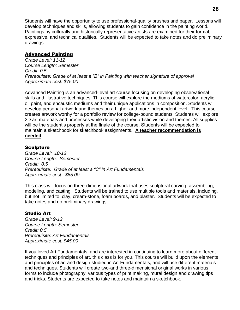Students will have the opportunity to use professional-quality brushes and paper. Lessons will develop techniques and skills, allowing students to gain confidence in the painting world. Paintings by culturally and historically representative artists are examined for their formal, expressive, and technical qualities. Students will be expected to take notes and do preliminary drawings.

#### Advanced Painting

*Grade Level: 11-12 Course Length: Semester Credit: 0.5 Prerequisite: Grade of at least a "B" in Painting with teacher signature of approval Approximate cost: \$75.00* 

Advanced Painting is an advanced-level art course focusing on developing observational skills and illustrative techniques. This course will explore the mediums of watercolor, acrylic, oil paint, and encaustic mediums and their unique applications in composition. Students will develop personal artwork and themes on a higher and more independent level. This course creates artwork worthy for a portfolio review for college-bound students. Students will explore 2D art materials and processes while developing their artistic vision and themes. All supplies will be the student's property at the finale of the course. Students will be expected to maintain a sketchbook for sketchbook assignments. **A teacher recommendation is needed**.

#### Sculpture

*Grade Level: 10-12 Course Length: Semester Credit: 0.5 Prerequisite: Grade of at least a "C" in Art Fundamentals Approximate cost: \$65.00*

This class will focus on three-dimensional artwork that uses sculptural carving, assembling, modeling, and casting. Students will be trained to use multiple tools and materials, including, but not limited to, clay, cream-stone, foam boards, and plaster. Students will be expected to take notes and do preliminary drawings.

#### Studio Art

*Grade Level: 9-12 Course Length: Semester Credit: 0.5 Prerequisite: Art Fundamentals Approximate cost: \$45.00*

If you loved Art Fundamentals, and are interested in continuing to learn more about different techniques and principles of art, this class is for you. This course will build upon the elements and principles of art and design studied in Art Fundamentals, and will use different materials and techniques. Students will create two-and three-dimensional original works in various forms to include photography, various types of print making, mural design and drawing tips and tricks. Students are expected to take notes and maintain a sketchbook.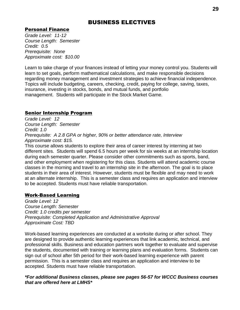# BUSINESS ELECTIVES

#### Personal Finance

*Grade Level: 11-12 Course Length: Semester Credit: 0.5 Prerequisite: None Approximate cost: \$10.00*

Learn to take charge of your finances instead of letting your money control you. Students will learn to set goals, perform mathematical calculations, and make responsible decisions regarding money management and investment strategies to achieve financial independence. Topics will include budgeting, careers, checking, credit, paying for college, saving, taxes, insurance, investing in stocks, bonds, and mutual funds, and portfolio management. Students will participate in the Stock Market Game.

#### Senior Internship Program

G*rade Level: 12 Course Length: Semester Credit: 1.0 Prerequisite: A 2.8 GPA or higher, 90% or better attendance rate, Interview Approximate cost: \$15.*

This course allows students to explore their area of career interest by interning at two different sites. Students will spend 6.5 hours per week for six weeks at an internship location during each semester quarter. Please consider other commitments such as sports, band, and other employment when registering for this class. Students will attend academic course classes in the morning and travel to an internship site in the afternoon. The goal is to place students in their area of interest. However, students must be flexible and may need to work at an alternate internship. This is a semester class and requires an application and interview to be accepted. Students must have reliable transportation.

#### Work-Based Learning

*Grade Level: 12 Course Length: Semester Credit: 1.0 credits per semester Prerequisite: Completed Application and Administrative Approval Approximate Cost: TBD*

Work-based learning experiences are conducted at a worksite during or after school. They are designed to provide authentic learning experiences that link academic, technical, and professional skills. Business and education partners work together to evaluate and supervise the students, documented with training or learning plans and evaluation forms. Students can sign out of school after 5th period for their work-based learning experience with parent permission. This is a semester class and requires an application and interview to be accepted. Students must have reliable transportation.

*\*For additional Business classes, please see pages 56-57 for WCCC Business courses that are offered here at LMHS\**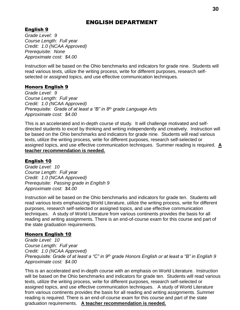# ENGLISH DEPARTMENT

# English 9

*Grade Level: 9 Course Length: Full year Credit: 1.0 (NCAA Approved) Prerequisite: None Approximate cost: \$4.00*

Instruction will be based on the Ohio benchmarks and indicators for grade nine. Students will read various texts, utilize the writing process, write for different purposes, research selfselected or assigned topics, and use effective communication techniques.

#### Honors English 9

*Grade Level: 9 Course Length: Full year Credit: 1.0 (NCAA Approved) Prerequisite: Grade of at least a "B" in 8th grade Language Arts Approximate cost: \$4.00*

This is an accelerated and in-depth course of study. It will challenge motivated and selfdirected students to excel by thinking and writing independently and creatively. Instruction will be based on the Ohio benchmarks and indicators for grade nine. Students will read various texts, utilize the writing process, write for different purposes, research self-selected or assigned topics, and use effective communication techniques. Summer reading is required. **A teacher recommendation is needed.**

#### English 10

*Grade Level: 10 Course Length: Full year Credit: 1.0 (NCAA Approved) Prerequisite: Passing grade in English 9 Approximate cost: \$4.00*

Instruction will be based on the Ohio benchmarks and indicators for grade ten. Students will read various texts emphasizing World Literature, utilize the writing process, write for different purposes, research self-selected or assigned topics, and use effective communication techniques. A study of World Literature from various continents provides the basis for all reading and writing assignments. There is an end-of-course exam for this course and part of the state graduation requirements.

#### Honors English 10

*Grade Level: 10 Course Length: Full year Credit: 1.0 (NCAA Approved) Prerequisite: Grade of at least a "C" in 9th grade Honors English or at least a "B" in English 9 Approximate cost: \$4.00*

This is an accelerated and in-depth course with an emphasis on World Literature. Instruction will be based on the Ohio benchmarks and indicators for grade ten. Students will read various texts, utilize the writing process, write for different purposes, research self-selected or assigned topics, and use effective communication techniques. A study of World Literature from various continents provides the basis for all reading and writing assignments. Summer reading is required. There is an end-of-course exam for this course and part of the state graduation requirements. **A teacher recommendation is needed.**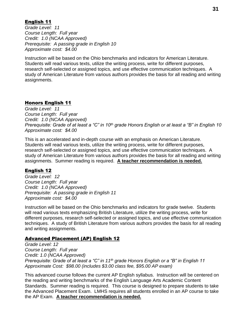#### English 11

*Grade Level: 11 Course Length: Full year Credit: 1.0 (NCAA Approved) Prerequisite: A passing grade in English 10 Approximate cost: \$4.00*

Instruction will be based on the Ohio benchmarks and indicators for American Literature. Students will read various texts, utilize the writing process, write for different purposes, research self-selected or assigned topics, and use effective communication techniques. A study of American Literature from various authors provides the basis for all reading and writing assignments.

#### Honors English 11

*Grade Level: 11 Course Length: Full year Credit: 1.0 (NCAA Approved) Prerequisite: Grade of at least a "C" in 10th grade Honors English or at least a "B" in English 10 Approximate cost: \$4.00*

This is an accelerated and in-depth course with an emphasis on American Literature. Students will read various texts, utilize the writing process, write for different purposes, research self-selected or assigned topics, and use effective communication techniques. A study of American Literature from various authors provides the basis for all reading and writing assignments. Summer reading is required. **A teacher recommendation is needed.** 

#### English 12

*Grade Level: 12 Course Length: Full year Credit: 1.0 (NCAA Approved) Prerequisite: A passing grade in English 11 Approximate cost: \$4.00*

Instruction will be based on the Ohio benchmarks and indicators for grade twelve. Students will read various texts emphasizing British Literature, utilize the writing process, write for different purposes, research self-selected or assigned topics, and use effective communication techniques. A study of British Literature from various authors provides the basis for all reading and writing assignments.

#### Advanced Placement (AP) English 12

*Grade Level: 12 Course Length: Full year Credit: 1.0 (NCAA Approved) Prerequisite: Grade of at least a "C" in 11th grade Honors English or a "B" in English 11 Approximate Cost: \$98.00 (includes \$3.00 class fee, \$95.00 AP exam)*

This advanced course follows the current AP English syllabus. Instruction will be centered on the reading and writing benchmarks of the English Language Arts Academic Content Standards. Summer reading is required. This course is designed to prepare students to take the Advanced Placement Exam. LMHS requires all students enrolled in an AP course to take the AP Exam. **A teacher recommendation is needed.**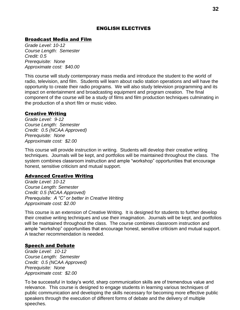#### ENGLISH ELECTIVES

#### Broadcast Media and Film

*Grade Level: 10-12 Course Length: Semester Credit: 0.5 Prerequisite: None Approximate cost: \$40.00*

This course will study contemporary mass media and introduce the student to the world of radio, television, and film. Students will learn about radio station operations and will have the opportunity to create their radio programs. We will also study television programming and its impact on entertainment and broadcasting equipment and program creation. The final component of the course will be a study of films and film production techniques culminating in the production of a short film or music video.

#### Creative Writing

*Grade Level: 9-12 Course Length: Semester Credit: 0.5 (NCAA Approved) Prerequisite: None Approximate cost: \$2.00*

This course will provide instruction in writing. Students will develop their creative writing techniques. Journals will be kept, and portfolios will be maintained throughout the class. The system combines classroom instruction and ample "workshop" opportunities that encourage honest, sensitive criticism and mutual support.

#### Advanced Creative Writing

*Grade Level: 10-12 Course Length: Semester Credit: 0.5 (NCAA Approved) Prerequisite: A "C" or better in Creative Writing Approximate cost: \$2.00*

This course is an extension of Creative Writing. It is designed for students to further develop their creative writing techniques and use their imagination. Journals will be kept, and portfolios will be maintained throughout the class. The course combines classroom instruction and ample "workshop" opportunities that encourage honest, sensitive criticism and mutual support. A teacher recommendation is needed.

#### Speech and Debate

*Grade Level: 10-12 Course Length: Semester Credit: 0.5 (NCAA Approved) Prerequisite: None Approximate cost: \$2.00*

To be successful in today's world, sharp communication skills are of tremendous value and relevance. This course is designed to engage students in learning various techniques of public communication and developing the skills necessary for becoming more effective public speakers through the execution of different forms of debate and the delivery of multiple speeches.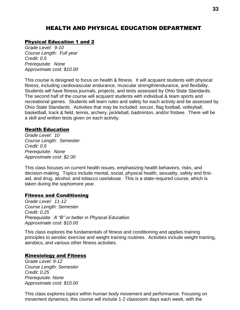# HEALTH AND PHYSICAL EDUCATION DEPARTMENT

#### Physical Education 1 and 2

*Grade Level: 9-10 Course Length: Full year Credit: 0.5 Prerequisite: None Approximate cost: \$10.00*

This course is designed to focus on health & fitness. It will acquaint students with physical fitness, including cardiovascular endurance, muscular strength/endurance, and flexibility. Students will have fitness journals, projects, and tests assessed by Ohio State Standards. The second half of the course will acquaint students with individual & team sports and recreational games. Students will learn rules and safety for each activity and be assessed by Ohio State Standards. Activities that may be included: soccer, flag football, volleyball, basketball, track & field, tennis, archery, pickleball, badminton, and/or frisbee. There will be a skill and written tests given on each activity.

#### Health Education

*Grade Level: 10 Course Length: Semester Credit: 0.5 Prerequisite: None Approximate cost: \$2.00*

This class focuses on current health issues, emphasizing health behaviors, risks, and decision-making. Topics include mental, social, physical health, sexuality, safety and firstaid, and drug, alcohol, and tobacco use/abuse. This is a state-required course, which is taken during the sophomore year.

#### Fitness and Conditioning

*Grade Level: 11-12 Course Length: Semester Credit: 0.25 Prerequisite: A "B" or better in Physical Education Approximate cost: \$10.00*

This class explores the fundamentals of fitness and conditioning and applies training principles to aerobic exercise and weight training routines. Activities include weight training, aerobics, and various other fitness activities.

#### Kinesiology and Fitness

*Grade Level: 9-12 Course Length: Semester Credit: 0.25 Prerequisite: None Approximate cost: \$10.00*

This class explores topics within human body movement and performance. Focusing on movement dynamics, this course will include 1-2 classroom days each week, with the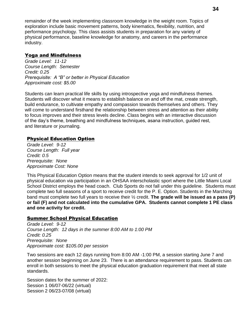remainder of the week implementing classroom knowledge in the weight room. Topics of exploration include basic movement patterns, body kinematics, flexibility, nutrition, and performance psychology. This class assists students in preparation for any variety of physical performance, baseline knowledge for anatomy, and careers in the performance industry.

#### Yoga and Mindfulness

*Grade Level: 11-12 Course Length: Semester Credit: 0.25 Prerequisite: A "B" or better in Physical Education Approximate cost: \$5.00*

Students can learn practical life skills by using introspective yoga and mindfulness themes. Students will discover what it means to establish balance on and off the mat, create strength, build endurance, to cultivate empathy and compassion towards themselves and others. They will come to understand firsthand the relationship between stress and attention as their ability to focus improves and their stress levels decline. Class begins with an interactive discussion of the day's theme, breathing and mindfulness techniques, asana instruction, guided rest, and literature or journaling.

#### Physical Education Option

*Grade Level: 9-12 Course Length: Full year Credit: 0.5 Prerequisite: None Approximate Cost: None*

This Physical Education Option means that the student intends to seek approval for 1/2 unit of physical education via participation in an OHSAA interscholastic sport where the Little Miami Local School District employs the head coach. Club Sports do not fall under this guideline. Students must complete two full seasons of a sport to receive credit for the P. E. Option. Students in the Marching band must complete two full years to receive their ½ credit. **The grade will be issued as a pass (P) or fail (F) and not calculated into the cumulative GPA. Students cannot complete 1 PE class and one activity for credit.** 

#### Summer School Physical Education

*Grade Level: 9-12 Course Length: 12 days in the summer 8:00 AM to 1:00 PM Credit: 0.25 Prerequisite: None Approximate cost: \$105.00 per session*

Two sessions are each 12 days running from 8:00 AM -1:00 PM, a session starting June 7 and another session beginning on June 23. There is an attendance requirement to pass. Students can enroll in both sessions to meet the physical education graduation requirement that meet all state standards.

Session dates for the summer of 2022: Session 1 06/07-06/22 (virtual) Session 2 06/23-07/08 (virtual)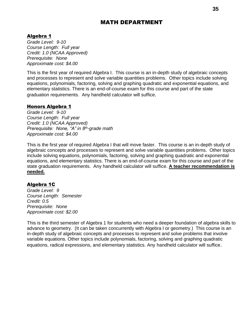# MATH DEPARTMENT

#### Algebra 1

*Grade Level: 9-10 Course Length: Full year Credit: 1.0 (NCAA Approved) Prerequisite: None Approximate cost: \$4.00* 

This is the first year of required Algebra I. This course is an in-depth study of algebraic concepts and processes to represent and solve variable quantities problems. Other topics include solving equations, polynomials, factoring, solving and graphing quadratic and exponential equations, and elementary statistics. There is an end-of-course exam for this course and part of the state graduation requirements. Any handheld calculator will suffice.

#### Honors Algebra 1

*Grade Level: 9-10 Course Length: Full year Credit: 1.0 (NCAA Approved) Prerequisite: None, "A" in 8th-grade math Approximate cost: \$4.00* 

This is the first year of required Algebra I that will move faster. This course is an in-depth study of algebraic concepts and processes to represent and solve variable quantities problems. Other topics include solving equations, polynomials, factoring, solving and graphing quadratic and exponential equations, and elementary statistics. There is an end-of-course exam for this course and part of the state graduation requirements. Any handheld calculator will suffice. **A teacher recommendation is needed.**

#### Algebra 1C

*Grade Level: 9 Course Length: Semester Credit: 0.5 Prerequisite: None Approximate cost: \$2.00* 

This is the third semester of Algebra 1 for students who need a deeper foundation of algebra skills to advance to geometry. (It can be taken concurrently with Algebra I or geometry.) This course is an in-depth study of algebraic concepts and processes to represent and solve problems that involve variable equations. Other topics include polynomials, factoring, solving and graphing quadratic equations, radical expressions, and elementary statistics. Any handheld calculator will suffice.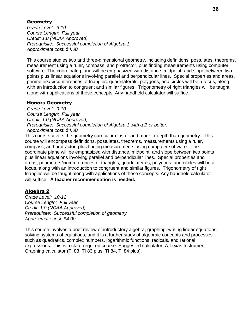#### **Geometry**

*Grade Level: 9-10 Course Length: Full year Credit: 1.0 (NCAA Approved) Prerequisite: Successful completion of Algebra 1 Approximate cost: \$4.00* 

This course studies two and three-dimensional geometry, including definitions, postulates, theorems, measurement using a ruler, compass, and protractor, plus finding measurements using computer software. The coordinate plane will be emphasized with distance, midpoint, and slope between two points plus linear equations involving parallel and perpendicular lines. Special properties and areas, perimeters/circumferences of triangles, quadrilaterals, polygons, and circles will be a focus, along with an introduction to congruent and similar figures. Trigonometry of right triangles will be taught along with applications of these concepts. Any handheld calculator will suffice.

#### Honors Geometry

*Grade Level: 9-10 Course Length: Full year Credit: 1.0 (NCAA Approved) Prerequisite: Successful completion of Algebra 1 with a B or better. Approximate cost: \$4.00* 

This course covers the geometry curriculum faster and more in-depth than geometry. This course will encompass definitions, postulates, theorems, measurements using a ruler, compass, and protractor, plus finding measurements using computer software. The coordinate plane will be emphasized with distance, midpoint, and slope between two points plus linear equations involving parallel and perpendicular lines. Special properties and areas, perimeters/circumferences of triangles, quadrilaterals, polygons, and circles will be a focus, along with an introduction to congruent and similar figures. Trigonometry of right triangles will be taught along with applications of these concepts. Any handheld calculator will suffice. **A teacher recommendation is needed.**

#### Algebra 2

*Grade Level: 10-12 Course Length: Full year Credit: 1.0 (NCAA Approved) Prerequisite: Successful completion of geometry Approximate cost: \$4.00* 

This course involves a brief review of introductory algebra, graphing, writing linear equations, solving systems of equations, and it is a further study of algebraic concepts and processes such as quadratics, complex numbers, logarithmic functions, radicals, and rational expressions. This is a state-required course. Suggested calculator: A Texas Instrument Graphing calculator (TI 83, TI 83 plus, TI 84, TI 84 plus).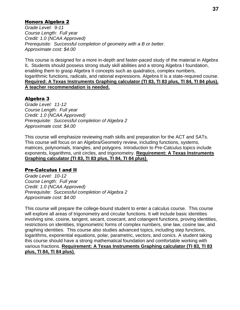# Honors Algebra 2

*Grade Level: 9-11 Course Length: Full year Credit: 1.0 (NCAA Approved) Prerequisite: Successful completion of geometry with a B or better. Approximate cost: \$4.00* 

This course is designed for a more in-depth and faster-paced study of the material in Algebra II**.** Students should possess strong study skill abilities and a strong Algebra I foundation, enabling them to grasp Algebra II concepts such as quadratics, complex numbers, logarithmic functions, radicals, and rational expressions. Algebra II is a state-required course. **Required: A Texas Instruments Graphing calculator (TI 83, TI 83 plus, TI 84, TI 84 plus). A teacher recommendation is needed.**

# Algebra 3

*Grade Level: 11-12 Course Length: Full year Credit: 1.0 (NCAA Approved) Prerequisite: Successful completion of Algebra 2 Approximate cost: \$4.00* 

This course will emphasize reviewing math skills and preparation for the ACT and SATs. This course will focus on an Algebra/Geometry review, including functions, systems, matrices, polynomials, triangles, and polygons. Introduction to Pre-Calculus topics include exponents, logarithms, unit circles, and trigonometry. **Requirement: A Texas Instruments Graphing calculator (TI 83, TI 83 plus, TI 84, TI 84 plus)**.

# Pre-Calculus I and II

*Grade Level: 10-12 Course Length: Full year Credit: 1.0 (NCAA Approved) Prerequisite: Successful completion of Algebra 2 Approximate cost: \$4.00* 

This course will prepare the college-bound student to enter a calculus course. This course will explore all areas of trigonometry and circular functions. It will include basic identities involving sine, cosine, tangent, secant, cosecant, and cotangent functions, proving identities, restrictions on identities, trigonometric forms of complex numbers, sine law, cosine law, and graphing identities. This course also studies advanced topics, including step functions, logarithms, exponential equations, polar, parametric, vectors, and conics. A student taking this course should have a strong mathematical foundation and comfortable working with various fractions. **Requirement: A Texas Instruments Graphing calculator (TI 83, TI 83 plus, TI 84, TI 84 plus)**.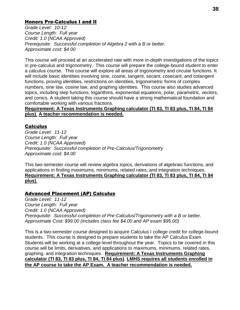# Honors Pre-Calculus I and II

*Grade Level: 10-12 Course Length: Full year Credit: 1.0 (NCAA Approved) Prerequisite: Successful completion of Algebra 2 with a B or better. Approximate cost: \$4.00* 

This course will proceed at an accelerated rate with more in-depth investigations of the topics in pre-calculus and trigonometry. This course will prepare the college-bound student to enter a calculus course. This course will explore all areas of trigonometry and circular functions. It will include basic identities involving sine, cosine, tangent, secant, cosecant, and cotangent functions, proving identities, restrictions on identities, trigonometric forms of complex numbers, sine law, cosine law, and graphing identities. This course also studies advanced topics, including step functions, logarithms, exponential equations, polar, parametric, vectors, and conics. A student taking this course should have a strong mathematical foundation and comfortable working with various fractions.

**Requirement: A Texas Instruments Graphing calculator (TI 83, TI 83 plus, TI 84, TI 84 plus)**. **A teacher recommendation is needed.**

# **Calculus**

*Grade Level: 11-12 Course Length: Full year Credit: 1.0 (NCAA Approved) Prerequisite: Successful completion of Pre-Calculus/Trigonometry Approximate cost: \$4.00* 

This two-semester course will review algebra topics, derivations of algebraic functions, and applications in finding maximums, minimums, related rates, and integration techniques. **Requirement: A Texas Instruments Graphing calculator (TI 83, TI 83 plus, TI 84, TI 84 plus)**.

# Advanced Placement (AP) Calculus

*Grade Level: 11-12 Course Length: Full year Credit: 1.0 (NCAA Approved) Prerequisite: Successful completion of Pre-Calculus/Trigonometry with a B or better. Approximate Cost: \$99.00 (includes class fee \$4.00 and AP exam \$95.00)*

This is a two-semester course designed to acquire Calculus I college credit for college-bound students. This course is designed to prepare students to take the AP Calculus Exam. Students will be working at a college-level throughout the year. Topics to be covered in this course will be limits, derivatives, and applications to maximums, minimums, related rates, graphing, and integration techniques. **Requirement: A Texas Instruments Graphing calculator (TI 83, TI 83 plus, TI 84, TI 84 plus)**. **LMHS requires all students enrolled in the AP course to take the AP Exam. A teacher recommendation is needed.**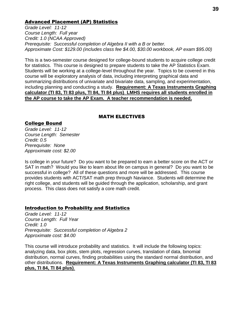# Advanced Placement (AP) Statistics

*Grade Level: 11-12 Course Length: Full year Credit: 1.0 (NCAA Approved) Prerequisite: Successful completion of Algebra II with a B or better. Approximate Cost: \$129.00 (includes class fee \$4.00, \$30.00 workbook, AP exam \$95.00)*

This is a two-semester course designed for college-bound students to acquire college credit for statistics. This course is designed to prepare students to take the AP Statistics Exam. Students will be working at a college-level throughout the year. Topics to be covered in this course will be exploratory analysis of data, including interpreting graphical data and summarizing distributions of univariate and bivariate data, sampling, and experimentation, including planning and conducting a study. **Requirement: A Texas Instruments Graphing calculator (TI 83, TI 83 plus, TI 84, TI 84 plus)**. **LMHS requires all students enrolled in the AP course to take the AP Exam. A teacher recommendation is needed.**

# MATH ELECTIVES

# College Bound

*Grade Level: 11-12 Course Length: Semester Credit: 0.5 Prerequisite: None Approximate cost: \$2.00* 

Is college in your future? Do you want to be prepared to earn a better score on the ACT or SAT in math? Would you like to learn about life on campus in general? Do you want to be successful in college? All of these questions and more will be addressed. This course provides students with ACT/SAT math prep through Naviance. Students will determine the right college, and students will be guided through the application, scholarship, and grant process. This class does not satisfy a core math credit.

# Introduction to Probability and Statistics

*Grade Level: 11-12 Course Length: Full Year Credit: 1.0 Prerequisite: Successful completion of Algebra 2 Approximate cost: \$4.00* 

This course will introduce probability and statistics. It will include the following topics: analyzing data, box plots, stem plots, regression curves, translation of data, binomial distribution, normal curves, finding probabilities using the standard normal distribution, and other distributions. **Requirement: A Texas Instruments Graphing calculator (TI 83, TI 83 plus, TI 84, TI 84 plus)**.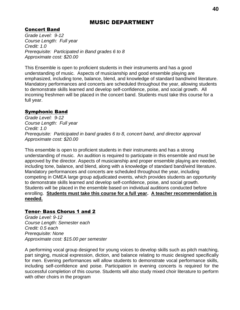# MUSIC DEPARTMENT

# Concert Band

*Grade Level: 9-12 Course Length: Full year Credit: 1.0 Prerequisite: Participated in Band grades 6 to 8 Approximate cost: \$20.00* 

This Ensemble is open to proficient students in their instruments and has a good understanding of music. Aspects of musicianship and good ensemble playing are emphasized, including tone, balance, blend, and knowledge of standard band/wind literature. Mandatory performances and concerts are scheduled throughout the year, allowing students to demonstrate skills learned and develop self-confidence, poise, and social growth. All incoming freshmen will be placed in the concert band. Students must take this course for a full year.

# Symphonic Band

*Grade Level: 9-12 Course Length: Full year Credit: 1.0 Prerequisite: Participated in band grades 6 to 8, concert band, and director approval Approximate cost: \$20.00* 

This ensemble is open to proficient students in their instruments and has a strong understanding of music. An audition is required to participate in this ensemble and must be approved by the director. Aspects of musicianship and proper ensemble playing are needed, including tone, balance, and blend, along with a knowledge of standard band/wind literature. Mandatory performances and concerts are scheduled throughout the year, including competing in OMEA large group adjudicated events, which provides students an opportunity to demonstrate skills learned and develop self-confidence, poise, and social growth. Students will be placed in the ensemble based on individual auditions conducted before enrolling. **Students must take this course for a full year. A teacher recommendation is needed.**

# Tenor- Bass Chorus 1 and 2

*Grade Level: 9-12 Course Length: Semester each Credit: 0.5 each Prerequisite: None Approximate cost: \$15.00 per semester*

A performing vocal group designed for young voices to develop skills such as pitch matching, part singing, musical expression, diction, and balance relating to music designed specifically for men. Evening performances will allow students to demonstrate vocal performance skills, including self-confidence and poise. Participation in evening concerts is required for the successful completion of this course. Students will also study mixed choir literature to perform with other choirs in the program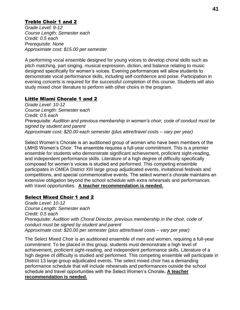# Treble Choir 1 and 2

*Grade Level: 9-12 Course Length: Semester each Credit: 0.5 each Prerequisite: None Approximate cost: \$15.00 per semester*

A performing vocal ensemble designed for young voices to develop choral skills such as pitch matching, part singing, musical expression, diction, and balance relating to music designed specifically for women's voices. Evening performances will allow students to demonstrate vocal performance skills, including self-confidence and poise. Participation in evening concerts is required for the successful completion of this course. Students will also study mixed choir literature to perform with other choirs in the program.

# Little Miami Chorale 1 and 2

*Grade Level: 10-12 Course Length: Semester each Credit: 0.5 each Prerequisite: Audition and previous membership in women's choir, code of conduct must be signed by student and parent Approximate cost: \$20.00 each semester (plus attire/travel costs – vary per year)*

Select Women's Chorale is an auditioned group of women who have been members of the LMHS Women's Choir. The ensemble requires a full-year commitment. This is a premier ensemble for students who demonstrate significant achievement, proficient sight-reading, and independent performance skills. Literature of a high degree of difficulty specifically composed for women's voices is studied and performed. This competing ensemble participates in OMEA District XIII large group adjudicated events, invitational festivals and competitions, and special commemorative events. The select women's chorale maintains an extensive obligation beyond the school schedule with extra rehearsals and performances with travel opportunities. **A teacher recommendation is needed.**

# Select Mixed Choir 1 and 2

*Grade Level: 10-12 Course Length: Semester each Credit: 0.5 each Prerequisite: Audition with Choral Director, previous membership in the choir, code of conduct must be signed by student and parent Approximate cost: \$20.00 per semester (plus attire/travel costs – vary per year)*

The Select Mixed Choir is an auditioned ensemble of men and women, requiring a full-year commitment. To be placed in this group, students must demonstrate a high level of achievement, proficient sight-reading, and independent performance skills. Literature of a high degree of difficulty is studied and performed. This competing ensemble will participate in District 13 large group adjudicated events. The select mixed choir has a demanding performance schedule that will include rehearsals and performances outside the school schedule and travel opportunities with the Select Women's Chorale**. A teacher recommendation is needed.**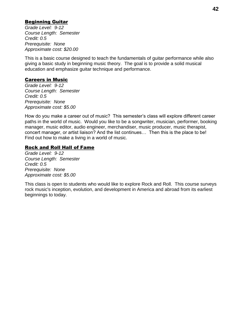# Beginning Guitar

*Grade Level: 9-12 Course Length: Semester Credit: 0.5 Prerequisite: None Approximate cost: \$20.00* 

This is a basic course designed to teach the fundamentals of guitar performance while also giving a basic study in beginning music theory. The goal is to provide a solid musical education and emphasize guitar technique and performance.

# Careers in Music

*Grade Level: 9-12 Course Length: Semester Credit: 0.5 Prerequisite: None Approximate cost: \$5.00* 

How do you make a career out of music? This semester's class will explore different career paths in the world of music. Would you like to be a songwriter, musician, performer, booking manager, music editor, audio engineer, merchandiser, music producer, music therapist, concert manager, or artist liaison? And the list continues… Then this is the place to be! Find out how to make a living in a world of music.

# Rock and Roll Hall of Fame

*Grade Level: 9-12 Course Length: Semester Credit: 0.5 Prerequisite: None Approximate cost: \$5.00* 

This class is open to students who would like to explore Rock and Roll. This course surveys rock music's inception, evolution, and development in America and abroad from its earliest beginnings to today.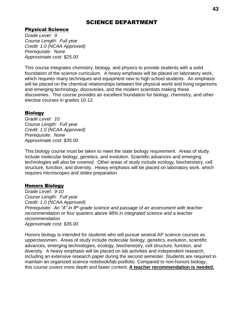# SCIENCE DEPARTMENT

# Physical Science

*Grade Level: 9 Course Length: Full year Credit: 1.0 (NCAA Approved) Prerequisite: None Approximate cost: \$25.00*

This course integrates chemistry, biology, and physics to provide students with a solid foundation of the science curriculum. A heavy emphasis will be placed on laboratory work, which requires many techniques and equipment new to high school students. An emphasis will be placed on the chemical relationships between the physical world and living organisms and emerging technology, discoveries, and the modern scientists making these discoveries. This course provides an excellent foundation for biology, chemistry, and other elective courses in grades 10-12.

# Biology

*Grade Level: 10 Course Length: Full year Credit: 1.0 (NCAA Approved) Prerequisite: None Approximate cost: \$35.00* 

This biology course must be taken to meet the state biology requirement. Areas of study include molecular biology, genetics, and evolution. Scientific advances and emerging technologies will also be covered. Other areas of study include ecology, biochemistry, cell structure, function, and diversity. Heavy emphasis will be placed on laboratory work, which requires microscopes and slides preparation.

# Honors Biology

*Grade Level: 9-10 Course Length: Full year Credit: 1.0 (NCAA Approved) Prerequisite: An "A" in 8th-grade science and passage of an assessment with teacher recommendation or four quarters above 98% in integrated science and a teacher recommendation. Approximate cost: \$35.00*

Honors biology is intended for students who will pursue several AP science courses as upperclassmen. Areas of study include molecular biology, genetics, evolution, scientific advances, emerging technologies, ecology, biochemistry, cell structure, function, and diversity. A heavy emphasis will be placed on lab activities and independent research, including an extensive research paper during the second semester. Students are required to maintain an organized science notebook/lab portfolio. Compared to non-honors biology, this course covers more depth and faster content. **A teacher recommendation is needed.**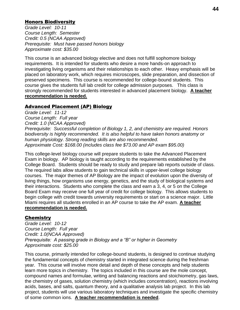### Honors Biodiversity

*Grade Level: 10-11 Course Length: Semester Credit: 0.5 (NCAA Approved) Prerequisite: Must have passed honors biology Approximate cost: \$35.00* 

This course is an advanced biology elective and does not fulfill sophomore biology requirements. It is intended for students who desire a more hands-on approach to investigating living organisms and their relationships to each other. Heavy emphasis will be placed on laboratory work, which requires microscopes, slide preparation, and dissection of preserved specimens. This course is recommended for college-bound students. This course gives the students full lab credit for college admission purposes. This class is strongly recommended for students interested in advanced placement biology. **A teacher recommendation is needed.**

#### Advanced Placement (AP) Biology

*Grade Level: 11-12 Course Length: Full year Credit: 1.0 (NCAA Approved) Prerequisite: Successful completion of Biology 1, 2, and chemistry are required. Honors biodiversity is highly recommended. It is also helpful to have taken honors anatomy or human physiology. Strong reading skills are also recommended. Approximate Cost: \$168.00 (includes class fee \$73.00 and AP exam \$95.00)*

This college-level biology course will prepare students to take the Advanced Placement Exam in biology. AP biology is taught according to the requirements established by the College Board. Students should be ready to study and prepare lab reports outside of class. The required labs allow students to gain technical skills in upper-level college biology courses. The major themes of AP Biology are the impact of evolution upon the diversity of living things, how organisms use energy, genetics, and the study of biological systems and their interactions. Students who complete the class and earn a 3, 4, or 5 on the College Board Exam may receive one full year of credit for college biology. This allows students to begin college with credit towards university requirements or start on a science major. Little Miami requires all students enrolled in an AP course to take the AP exam. **A teacher recommendation is needed.**

#### **Chemistry**

*Grade Level: 10-12 Course Length: Full year Credit: 1.0(NCAA Approved) Prerequisite: A passing grade in Biology and a "B" or higher in Geometry Approximate cost: \$25.00* 

This course, primarily intended for college-bound students, is designed to continue studying the fundamental concepts of chemistry started in integrated science during the freshman year. This course will involve more detail and depth of these concepts and help students learn more topics in chemistry. The topics included in this course are the mole concept, compound names and formulae, writing and balancing reactions and stoichiometry, gas laws, the chemistry of gases, solution chemistry (which includes concentration), reactions involving acids, bases, and salts, quantum theory, and a qualitative analysis lab project. In this lab project, students will use various laboratory techniques and investigate the specific chemistry of some common ions. **A teacher recommendation is needed**.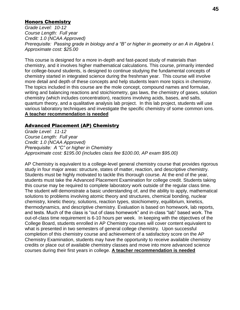# Honors Chemistry

*Grade Level: 10-12 Course Length: Full year Credit: 1.0 (NCAA Approved) Prerequisite: Passing grade in biology and a "B" or higher in geometry or an A in Algebra I. Approximate cost: \$25.00* 

This course is designed for a more in-depth and fast-paced study of materials than chemistry, and it involves higher mathematical calculations. This course, primarily intended for college-bound students, is designed to continue studying the fundamental concepts of chemistry started in integrated science during the freshman year. This course will involve more detail and depth of these concepts and help students learn more topics in chemistry. The topics included in this course are the mole concept, compound names and formulae, writing and balancing reactions and stoichiometry, gas laws, the chemistry of gases, solution chemistry (which includes concentration), reactions involving acids, bases, and salts, quantum theory, and a qualitative analysis lab project. In this lab project, students will use various laboratory techniques and investigate the specific chemistry of some common ions. **A teacher recommendation is needed**

# Advanced Placement (AP) Chemistry

*Grade Level: 11-12 Course Length: Full year Credit: 1.0 (NCAA Approved) Prerequisite: A "C" or higher in Chemistry Approximate cost: \$195.00 (includes class fee \$100.00, AP exam \$95.00)*

AP Chemistry is equivalent to a college-level general chemistry course that provides rigorous study in four major areas: structure, states of matter, reaction, and descriptive chemistry. Students must be highly motivated to tackle this thorough course. At the end of the year, students must take the Advanced Placement Examination for college credit. Students taking this course may be required to complete laboratory work outside of the regular class time. The student will demonstrate a basic understanding of, and the ability to apply, mathematical solutions to problems involving atomic theory and structures, chemical bonding, nuclear chemistry, kinetic theory, solutions, reaction types, stoichiometry, equilibrium, kinetics, thermodynamics, and descriptive chemistry. Evaluation is based on homework, lab reports, and tests. Much of the class is "out of class homework" and in-class "lab" based work. The out-of-class time requirement is 6-10 hours per week. In keeping with the objectives of the College Board, students enrolled in AP Chemistry courses will cover content equivalent to what is presented in two semesters of general college chemistry. Upon successful completion of this chemistry course and achievement of a satisfactory score on the AP Chemistry Examination, students may have the opportunity to receive available chemistry credits or place out of available chemistry classes and move into more advanced science courses during their first years in college. **A teacher recommendation is needed**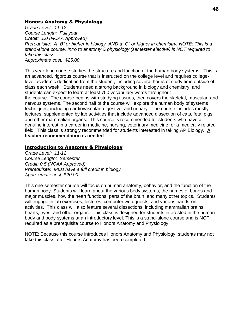### Honors Anatomy & Physiology

*Grade Level: 11-12 Course Length: Full year Credit: 1.0 (NCAA Approved) Prerequisite: A "B" or higher in biology, AND a "C" or higher in chemistry. NOTE: This is a stand-alone course. Intro to anatomy & physiology (semester elective) is NOT required to take this class*. *Approximate cost: \$25.00*

This year-long course studies the structure and function of the human body systems. This is an advanced, rigorous course that is instructed on the college level and requires collegelevel academic dedication from the student, including several hours of study time outside of class each week. Students need a strong background in biology and chemistry, and students can expect to learn at least 750 vocabulary words throughout the course. The course begins with studying tissues, then covers the skeletal, muscular, and nervous systems. The second half of the course will explore the human body of systems techniques, including cardiovascular, digestive, and urinary. The course includes mostly lectures, supplemented by lab activities that include advanced dissection of cats, fetal pigs, and other mammalian organs. This course is recommended for students who have a genuine interest in a career in medicine, nursing, veterinary medicine, or a medically related field. This class is strongly recommended for students interested in taking AP Biology. **A teacher recommendation is needed**

#### Introduction to Anatomy & Physiology

*Grade Level: 11-12 Course Length: Semester Credit: 0.5 (NCAA Approved) Prerequisite: Must have a full credit in biology Approximate cost: \$20.00*

This one-semester course will focus on human anatomy, behavior, and the function of the human body. Students will learn about the various body systems, the names of bones and major muscles, how the heart functions, parts of the brain, and many other topics. Students will engage in lab exercises, lectures, computer web quests, and various hands-on activities. This class will also feature several dissections, including mammalian brains, hearts, eyes, and other organs. This class is designed for students interested in the human body and body systems at an introductory level. This is a stand-alone course and is NOT required as a prerequisite course to Honors Anatomy and Physiology.

NOTE: Because this course introduces Honors Anatomy and Physiology, students may not take this class after Honors Anatomy has been completed.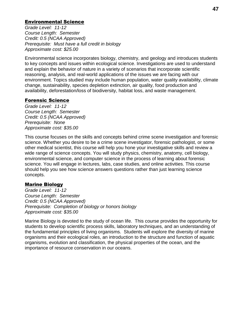# Environmental Science

*Grade Level: 11-12 Course Length: Semester Credit: 0.5 (NCAA Approved) Prerequisite: Must have a full credit in biology Approximate cost: \$25.00*

Environmental science incorporates biology, chemistry, and geology and introduces students to key concepts and issues within ecological science. Investigations are used to understand and explain the behavior of nature in a variety of scenarios that incorporate scientific reasoning, analysis, and real-world applications of the issues we are facing with our environment. Topics studied may include human population, water quality availability, climate change, sustainability, species depletion extinction, air quality, food production and availability, deforestation/loss of biodiversity, habitat loss, and waste management.

#### Forensic Science

*Grade Level: 11-12 Course Length: Semester Credit: 0.5 (NCAA Approved) Prerequisite: None Approximate cost: \$35.00* 

This course focuses on the skills and concepts behind crime scene investigation and forensic science. Whether you desire to be a crime scene investigator, forensic pathologist, or some other medical scientist, this course will help you hone your investigative skills and review a wide range of science concepts. You will study physics, chemistry, anatomy, cell biology, environmental science, and computer science in the process of learning about forensic science. You will engage in lectures, labs, case studies, and online activities. This course should help you see how science answers questions rather than just learning science concepts.

#### Marine Biology

*Grade Level: 11-12 Course Length: Semester Credit: 0.5 (NCAA Approved) Prerequisite: Completion of biology or honors biology Approximate cost: \$35.00* 

Marine Biology is devoted to the study of ocean life. This course provides the opportunity for students to develop scientific process skills, laboratory techniques, and an understanding of the fundamental principles of living organisms. Students will explore the diversity of marine organisms and their ecological roles, an introduction to the structure and function of aquatic organisms, evolution and classification, the physical properties of the ocean, and the importance of resource conservation in our oceans.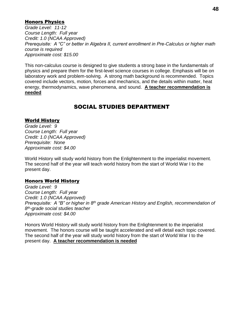# Honors Physics

*Grade Level: 11-12 Course Length: Full year Credit: 1.0 (NCAA Approved) Prerequisite: A "C" or better in Algebra II, current enrollment in Pre-Calculus or higher math course is required Approximate cost: \$15.00* 

This non-calculus course is designed to give students a strong base in the fundamentals of physics and prepare them for the first-level science courses in college. Emphasis will be on laboratory work and problem-solving. A strong math background is recommended. Topics covered include vectors, motion, forces and mechanics, and the details within matter, heat energy, thermodynamics, wave phenomena, and sound. **A teacher recommendation is needed**

# SOCIAL STUDIES DEPARTMENT

### World History

*Grade Level: 9 Course Length: Full year Credit: 1.0 (NCAA Approved) Prerequisite: None Approximate cost: \$4.00* 

World History will study world history from the Enlightenment to the imperialist movement. The second half of the year will teach world history from the start of World War I to the present day.

#### Honors World History

*Grade Level: 9 Course Length: Full year Credit: 1.0 (NCAA Approved) Prerequisite: A "B" or higher in 8th grade American History and English, recommendation of 8 th-grade social studies teacher Approximate cost: \$4.00* 

Honors World History will study world history from the Enlightenment to the imperialist movement. The honors course will be taught accelerated and will detail each topic covered. The second half of the year will study world history from the start of World War I to the present day. **A teacher recommendation is needed**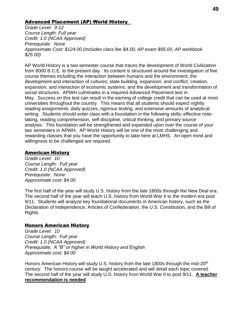### Advanced Placement (AP) World History

*Grade Level: 9-12 Course Length: Full year Credit: 1.0 (NCAA Approved) Prerequisite: None Approximate Cost: \$124.00 (includes class fee \$4.00, AP exam \$95.00, AP workbook \$25.00)*

AP World History is a two-semester course that traces the development of World Civilization from 8000 B.C.E. to the present day. Its content is structured around the investigation of five course themes including the interaction between humans and the environment; the development and interaction of cultures; state building, expansion, and conflict; creation, expansion, and interaction of economic systems; and the development and transformation of social structures. APWH culminates in a required Advanced Placement test in May. Success on this test can result in the earning of college credit that can be used at most universities throughout the country. This means that all students should expect nightly reading assignments, daily quizzes, rigorous testing, and extensive amounts of analytical writing. Students should enter class with a foundation in the following skills; effective notetaking, reading comprehension, self-discipline, critical thinking, and primary source analysis. This foundation will be strengthened and expanded upon over the course of your two semesters in APWH. AP World History will be one of the most challenging and rewarding classes that you have the opportunity to take here at LMHS. An open mind and willingness to be challenged are required.

# American History

*Grade Level: 10 Course Length: Full year Credit: 1.0 (NCAA Approved) Prerequisite: None Approximate cost: \$4.00* 

The first half of the year will study U.S. history from the late 1800s through the New Deal era. The second half of the year will teach U.S. history from World War II to the modern era post 9/11. Students will analyze key foundational documents in American history, such as the Declaration of Independence, Articles of Confederation, the U.S. Constitution, and the Bill of Rights.

# Honors American History

*Grade Level: 10 Course Length: Full year Credit: 1.0 (NCAA Approved) Prerequisite: A "B" or higher in World History and English Approximate cost: \$4.00* 

Honors American History will study U.S. history from the late 1800s through the mid-20<sup>th</sup> century. The honors course will be taught accelerated and will detail each topic covered. The second half of the year will study U.S. history from World War II to post 9/11. **A teacher recommendation is needed**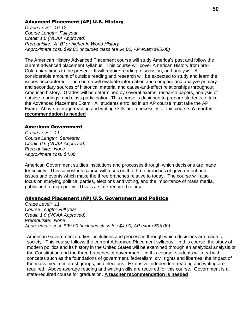### Advanced Placement (AP) U.S. History

*Grade Level: 10-12 Course Length: Full year Credit: 1.0 (NCAA Approved) Prerequisite: A "B" or higher in World History Approximate cost: \$99.00 (includes class fee \$4.00, AP exam \$95.00)*

The American History Advanced Placement course will study America's past and follow the current advanced placement syllabus. This course will cover American History from pre-Columbian times to the present. It will require reading, discussion, and analysis. A considerable amount of outside reading and research will be expected to study and learn the issues encountered. The course will evaluate information and compare and analyze primary and secondary sources of historical material and cause-and-effect relationships throughout American history. Grades will be determined by several exams, research papers, analysis of outside readings, and class participation. This course is designed to prepare students to take the Advanced Placement Exam. All students enrolled in an AP course must take the AP Exam. Above-average reading and writing skills are a necessity for this course. **A teacher recommendation is needed**

#### American Government

*Grade Level: 11 Course Length: Semester Credit: 0.5 (NCAA Approved) Prerequisite: None Approximate cost: \$4.00* 

American Government studies institutions and processes through which decisions are made for society. This semester's course will focus on the three branches of government and issues and events which make the three branches relative to today. The course will also focus on studying political parties, elections and voting, and the importance of mass media, public and foreign policy. This is a state-required course.

#### Advanced Placement (AP) U.S. Government and Politics

*Grade Level: 11 Course Length: Full year Credit: 1.0 (NCAA Approved) Prerequisite: None Approximate cost: \$99.00 (includes class fee \$4.00, AP exam \$95.00)*

American Government studies institutions and processes through which decisions are made for society. This course follows the current Advanced Placement syllabus. In this course, the study of modern politics and its history in the United States will be examined through an analytical analysis of the Constitution and the three branches of government. In this course, students will deal with concepts such as the foundations of government, federalism, civil rights and liberties, the impact of the mass media, interest groups, and elections. Extensive independent reading and writing are required. Above-average reading and writing skills are required for this course. Government is a state-required course for graduation. **A teacher recommendation is needed**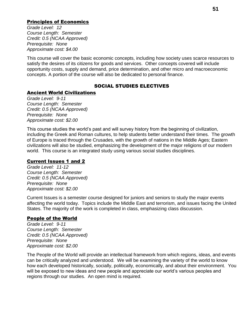# Principles of Economics

*Grade Level: 12 Course Length: Semester Credit: 0.5 (NCAA Approved) Prerequisite: None Approximate cost: \$4.00* 

This course will cover the basic economic concepts, including how society uses scarce resources to satisfy the desires of its citizens for goods and services. Other concepts covered will include opportunity costs, supply and demand, price determination, and other micro and macroeconomic concepts. A portion of the course will also be dedicated to personal finance.

# SOCIAL STUDIES ELECTIVES

# Ancient World Civilizations

*Grade Level: 9-11 Course Length: Semester Credit: 0.5 (NCAA Approved) Prerequisite: None Approximate cost: \$2.00* 

This course studies the world's past and will survey history from the beginning of civilization, including the Greek and Roman cultures, to help students better understand their times. The growth of Europe is traced through the Crusades, with the growth of nations in the Middle Ages; Eastern civilizations will also be studied, emphasizing the development of the major religions of our modern world. This course is an integrated study using various social studies disciplines.

# Current Issues 1 and 2

*Grade Level: 11-12 Course Length: Semester Credit: 0.5 (NCAA Approved) Prerequisite: None Approximate cost: \$2.00* 

Current Issues is a semester course designed for juniors and seniors to study the major events affecting the world today. Topics include the Middle East and terrorism, and issues facing the United States. The majority of the work is completed in class, emphasizing class discussion.

# People of the World

*Grade Level: 9-11 Course Length: Semester Credit: 0.5 (NCAA Approved) Prerequisite: None Approximate cost: \$2.00* 

The People of the World will provide an intellectual framework from which regions, ideas, and events can be critically analyzed and understood. We will be examining the variety of the world to know how each developed historically, socially, politically, economically, and about their environment. You will be exposed to new ideas and new people and appreciate our world's various peoples and regions through our studies. An open mind is required.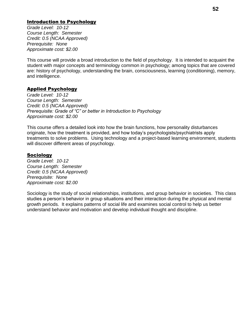# Introduction to Psychology

*Grade Level: 10-12 Course Length: Semester Credit: 0.5 (NCAA Approved) Prerequisite: None Approximate cost: \$2.00* 

This course will provide a broad introduction to the field of psychology. It is intended to acquaint the student with major concepts and terminology common in psychology; among topics that are covered are: history of psychology, understanding the brain, consciousness, learning (conditioning), memory, and intelligence.

# Applied Psychology

G*rade Level: 10-12 Course Length: Semester Credit: 0.5 (NCAA Approved) Prerequisite: Grade of "C" or better in Introduction to Psychology Approximate cost: \$2.00* 

This course offers a detailed look into how the brain functions, how personality disturbances originate, how the treatment is provided, and how today's psychologists/psychiatrists apply treatments to solve problems. Using technology and a project-based learning environment, students will discover different areas of psychology.

#### **Sociology**

*Grade Level: 10-12 Course Length: Semester Credit: 0.5 (NCAA Approved) Prerequisite: None Approximate cost: \$2.00* 

Sociology is the study of social relationships, institutions, and group behavior in societies. This class studies a person's behavior in group situations and their interaction during the physical and mental growth periods. It explains patterns of social life and examines social control to help us better understand behavior and motivation and develop individual thought and discipline.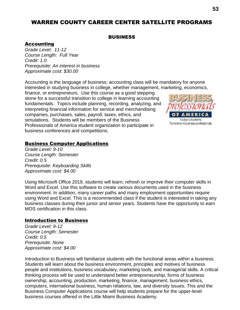# WARREN COUNTY CAREER CENTER SATELLITE PROGRAMS

#### **BUSINESS**

### Accounting

*Grade Level: 11-12 Course Length: Full Year Credit: 1.0 Prerequisite*: *An interest in business Approximate cost: \$30.00*

Accounting is the language of business; accounting class will be mandatory for anyone interested in studying business in college, whether management, marketing, economics,

finance, or entrepreneurs. Use this course as a good stepping stone for a successful transition to college in learning accounting fundamentals. Topics include planning, recording, analyzing, and interpreting financial information for service and merchandising companies, purchases, sales, payroll, taxes, ethics, and simulations. Students will be members of the Business Professionals of America student organization to participate in business conferences and competitions.



### Business Computer Applications

*Grade Level: 9-10 Course Length: Semester Credit: 0.5 Prerequisite: Keyboarding Skills Approximate cost: \$4.00*

Using Microsoft Office 2019, students will learn, refresh or improve their computer skills in Word and Excel. Use this software to create various documents used in the business environment. In addition, many career paths and many employment opportunities require using Word and Excel. This is a recommended class if the student is interested in taking any business classes during their junior and senior years. Students have the opportunity to earn MOS certification in this class.

#### Introduction to Business

*Grade Level: 9-12 Course Length: Semester Credit: 0.5 Prerequisite: None Approximate cost: \$4.00*

Introduction to Business will familiarize students with the functional areas within a business. Students will learn about the business environment, principles and motives of business people and institutions, business vocabulary, marketing tools, and managerial skills. A critical thinking process will be used to understand better entrepreneurship, forms of business ownership, accounting, production, marketing, finance, management, business ethics, computers, international business, human relations, law, and diversity issues. This and the Business Computer Applications course will help students prepare for the upper-level business courses offered in the Little Miami Business Academy.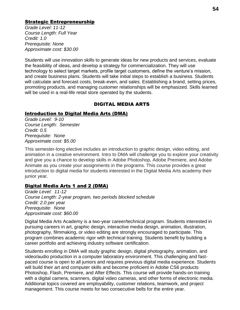### Strategic Entrepreneurship

*Grade Level: 11-12 Course Length: Full Year Credit: 1.0 Prerequisite: None Approximate cost: \$30.00*

Students will use innovation skills to generate ideas for new products and services, evaluate the feasibility of ideas, and develop a strategy for commercialization. They will use technology to select target markets, profile target customers, define the venture's mission, and create business plans. Students will take initial steps to establish a business. Students will calculate and forecast costs, break-even, and sales. Establishing a brand, setting prices, promoting products, and managing customer relationships will be emphasized. Skills learned will be used in a real-life retail store operated by the students.

### DIGITAL MEDIA ARTS

#### Introduction to Digital Media Arts (DMA)

*Grade Level: 9-10 Course Length: Semester Credit: 0.5 Prerequisite: None Approximate cost: \$5.00*

This semester-long elective includes an introduction to graphic design, video editing, and animation in a creative environment. Intro to DMA will challenge you to explore your creativity and give you a chance to develop skills in Adobe Photoshop, Adobe Premiere, and Adobe Animate as you create your assignments in the programs. This course provides a great introduction to digital media for students interested in the Digital Media Arts academy their junior year.

# Digital Media Arts 1 and 2 (DMA)

*Grade Level: 11-12 Course Length: 2-year program, two periods blocked schedule Credit: 2.0 per year Prerequisite: None Approximate cost: \$60.00*

Digital Media Arts Academy is a two-year career/technical program. Students interested in pursuing careers in art, graphic design, interactive media design, animation, illustration, photography, filmmaking, or video editing are strongly encouraged to participate. This program combines academic rigor with technical training. Students benefit by building a career portfolio and achieving industry software certification.

Students enrolling in DMA will study graphic design, digital photography, animation, and video/audio production in a computer laboratory environment. This challenging and fastpaced course is open to all juniors and requires previous digital media experience. Students will build their art and computer skills and become proficient in Adobe CS6 products Photoshop, Flash, Premiere, and After Effects. This course will provide hands-on training with a digital camera, scanners, digital video cameras, and other forms of electronic media. Additional topics covered are employability, customer relations, teamwork, and project management. This course meets for two consecutive bells for the entire year.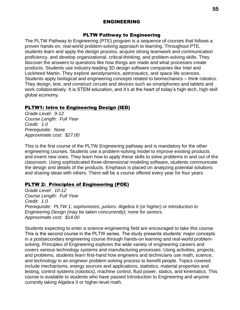### ENGINEERING

#### PLTW Pathway to Engineering

The PLTW Pathway to Engineering (PTE) program is a sequence of courses that follows a proven hands-on, real-world problem-solving approach to learning. Throughout PTE, students learn and apply the design process, acquire strong teamwork and communication proficiency, and develop organizational, critical-thinking, and problem-solving skills. They discover the answers to questions like how things are made and what processes create products. Students use industry-leading 3D design software companies like Intel and Lockheed Martin. They explore aerodynamics, astronautics, and space life sciences. Students apply biological and engineering concepts related to biomechanics – think robotics. They design, test, and construct circuits and devices such as smartphones and tablets and work collaboratively. It is STEM education, and it's at the heart of today's high-tech, high-skill global economy.

# PLTW1: Intro to Engineering Design (IED)

*Grade Level: 9-12 Course Length: Full Year Credit: 1.0 Prerequisite: None Approximate cost: \$27.00*

This is the first course of the PLTW Engineering pathway and is mandatory for the other engineering courses. Students use a problem-solving model to improve existing products and invent new ones. They learn how to apply these skills to solve problems in and out of the classroom. Using sophisticated three-dimensional modeling software, students communicate the design and details of the products. Emphasis is placed on analyzing potential solutions and sharing ideas with others. There will be a course offered every year for four years.

# PLTW 2: Principles of Engineering (POE)

*Grade Level: 10-12 Course Length: Full Year Credit: 1.0 Prerequisite: PLTW 1; sophomores, juniors: Algebra II (or higher) or Introduction to Engineering Design (may be taken concurrently); none for seniors. Approximate cost: \$14.00* 

Students expecting to enter a science-engineering field are encouraged to take this course. This is the second course in the PLTW series. The study presents students' major concepts in a postsecondary engineering course through hands-on learning and real-world problemsolving. Principles of Engineering explores the wide variety of engineering careers and covers various technology systems and manufacturing processes. Using activities, projects, and problems, students learn first-hand how engineers and technicians use math, science, and technology in an engineer problem-solving process to benefit people. Topics covered include mechanisms, energy sources and applications, statistics, material properties and testing, control systems (robotics), machine control, fluid power, statics, and kinematics. This course is available to students who have passed Introduction to Engineering and anyone currently taking Algebra II or higher-level math.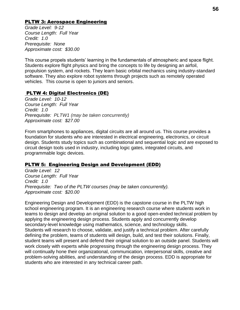# PLTW 3: Aerospace Engineering

*Grade Level: 9-12 Course Length: Full Year Credit: 1.0 Prerequisite: None Approximate cost: \$30.00* 

This course propels students' learning in the fundamentals of atmospheric and space flight. Students explore flight physics and bring the concepts to life by designing an airfoil, propulsion system, and rockets. They learn basic orbital mechanics using industry-standard software. They also explore robot systems through projects such as remotely operated vehicles. This course is open to juniors and seniors.

# PLTW 4: Digital Electronics (DE)

*Grade Level: 10-12 Course Length: Full Year Credit: 1.0 Prerequisite: PLTW1 (may be taken concurrently) Approximate cost: \$27.00*

From smartphones to appliances, digital circuits are all around us. This course provides a foundation for students who are interested in electrical engineering, electronics, or circuit design. Students study topics such as combinational and sequential logic and are exposed to circuit design tools used in industry, including logic gates, integrated circuits, and programmable logic devices.

# PLTW 5: Engineering Design and Development (EDD)

*Grade Level: 12 Course Length: Full Year Credit: 1.0 Prerequisite: Two of the PLTW courses (may be taken concurrently). Approximate cost: \$20.00* 

Engineering Design and Development (EDD) is the capstone course in the PLTW high school engineering program. It is an engineering research course where students work in teams to design and develop an original solution to a good open-ended technical problem by applying the engineering design process. Students apply and concurrently develop secondary-level knowledge using mathematics, science, and technology skills. Students will research to choose, validate, and justify a technical problem. After carefully defining the problem, teams of students will design, build, and test their solutions. Finally, student teams will present and defend their original solution to an outside panel. Students will work closely with experts while progressing through the engineering design process. They will continually hone their organizational, communication, interpersonal skills, creative and problem-solving abilities, and understanding of the design process. EDD is appropriate for students who are interested in any technical career path.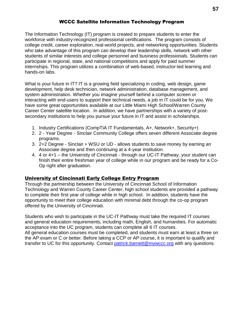# WCCC Satellite Information Technology Program

The Information Technology (IT) program is created to prepare students to enter the workforce with industry-recognized professional certifications. The program consists of college credit, career exploration, real-world projects, and networking opportunities. Students who take advantage of this program can develop their leadership skills, network with other students of similar interests and college personnel and business professionals. Students can participate in regional, state, and national competitions and apply for paid summer internships. This program utilizes a combination of web-based, instructor-led learning and hands-on labs.

What is your future in IT? IT is a growing field specializing in coding, web design, game development, help desk technician, network administration, database management, and system administration. Whether you imagine yourself behind a computer screen or interacting with end-users to support their technical needs, a job in IT could be for you. We have some great opportunities available at our Little Miami High School/Warren County Career Center satellite location. In addition, we have partnerships with a variety of postsecondary institutions to help you pursue your future in IT and assist in scholarships.

- 1. Industry Certifications (CompTIA IT Fundamentals, A+, Network+, Security+)
- 2. 2 Year Degree Sinclair Community College offers seven different Associate degree programs.
- 3. 2+2 Degree Sinclair + WSU or UD allows students to save money by earning an Associate degree and then continuing at a 4-year institution.
- 4. 4 or 4+1 the University of Cincinnati through our UC-IT Pathway, your student can finish their entire freshman year of college while in our program and be ready for a Co-Op right after graduation.

# University of Cincinnati Early College Entry Program

Through the partnership between the University of Cincinnati School of Information Technology and Warren County Career Center, high school students are provided a pathway to complete their first year of college while in high school. In addition, students have the opportunity to meet their college education with minimal debt through the co-op program offered by the University of Cincinnati.

Students who wish to participate in the UC-IT Pathway must take the required IT courses and general education requirements, including math, English, and humanities. For automatic acceptance into the UC program, students can complete all 6 IT courses. All general education courses must be completed, and students must earn at least a three on the AP exam or C or better. Before taking a CCP or AP course, it is important to qualify and transfer to UC for this opportunity. Contact [patrick.barnett@mywccc.org](mailto:patrick.barnett@mywccc.org) with any questions.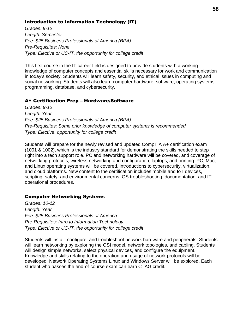# Introduction to Information Technology (IT)

*Grades: 9-12 Length: Semester Fee: \$25 Business Professionals of America (BPA) Pre-Requisites: None Type: Elective or UC-IT, the opportunity for college credit*

This first course in the IT career field is designed to provide students with a working knowledge of computer concepts and essential skills necessary for work and communication in today's society. Students will learn safety, security, and ethical issues in computing and social networking. Students will also learn computer hardware, software, operating systems, programming, database, and cybersecurity.

# A+ Certification Prep – Hardware/Software

*Grades: 9-12 Length: Year Fee: \$25 Business Professionals of America (BPA) Pre-Requisites: Some prior knowledge of computer systems is recommended Type: Elective, opportunity for college credit*

Students will prepare for the newly revised and updated CompTIA A+ certification exam (1001 & 1002), which is the industry standard for demonstrating the skills needed to step right into a tech support role. PC and networking hardware will be covered, and coverage of networking protocols, wireless networking and configuration, laptops, and printing. PC, Mac, and Linux operating systems will be covered, introductions to cybersecurity, virtualization, and cloud platforms. New content to the certification includes mobile and IoT devices, scripting, safety, and environmental concerns, OS troubleshooting, documentation, and IT operational procedures.

# Computer Networking Systems

*Grades: 10-12 Length: Year Fee: \$25 Business Professionals of America Pre-Requisites: Intro to Information Technology: Type: Elective or UC-IT, the opportunity for college credit*

Students will install, configure, and troubleshoot network hardware and peripherals. Students will learn networking by exploring the OSI model, network topologies, and cabling. Students will design simple networks, select physical devices, and configure the equipment. Knowledge and skills relating to the operation and usage of network protocols will be developed. Network Operating Systems Linux and Windows Server will be explored. Each student who passes the end-of-course exam can earn CTAG credit.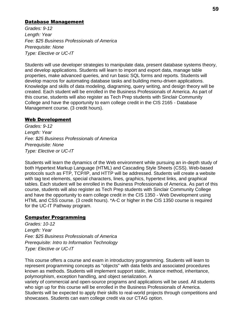### Database Management

*Grades: 9-12 Length: Year Fee: \$25 Business Professionals of America Prerequisite: None Type: Elective or UC-IT*

Students will use developer strategies to manipulate data, present database systems theory, and develop applications. Students will learn to import and export data, manage table properties, make advanced queries, and run basic SQL forms and reports. Students will develop macros for automating database tasks and building menu-driven applications. Knowledge and skills of data modeling, diagraming, query writing, and design theory will be created. Each student will be enrolled in the Business Professionals of America. As part of this course, students will also register as Tech Prep students with Sinclair Community College and have the opportunity to earn college credit in the CIS 2165 - Database Management course. (3 credit hours).

# Web Development

*Grades: 9-12 Length: Year Fee: \$25 Business Professionals of America Prerequisite: None Type: Elective or UC-IT*

Students will learn the dynamics of the Web environment while pursuing an in-depth study of both Hypertext Markup Language (HTML) and Cascading Style Sheets (CSS). Web-based protocols such as FTP, TCP/IP, and HTTP will be addressed. Students will create a website with tag text elements, special characters, lines, graphics, hypertext links, and graphical tables. Each student will be enrolled in the Business Professionals of America. As part of this course, students will also register as Tech Prep students with Sinclair Community College and have the opportunity to earn college credit in the CIS 1350 - Web Development using HTML and CSS course. (3 credit hours). \*A-C or higher in the CIS 1350 course is required for the UC-IT Pathway program.

# Computer Programming

*Grades: 10-12 Length: Year Fee: \$25 Business Professionals of America Prerequisite: Intro to Information Technology Type: Elective or UC-IT*

This course offers a course and exam in introductory programming. Students will learn to represent programming concepts as "objects" with data fields and associated procedures known as methods. Students will implement support static, instance method, inheritance, polymorphism, exception handling, and object serialization. A

variety of commercial and open-source programs and applications will be used. All students who sign up for this course will be enrolled in the Business Professionals of America. Students will be expected to apply their skills to real-world projects through competitions and showcases. Students can earn college credit via our CTAG option.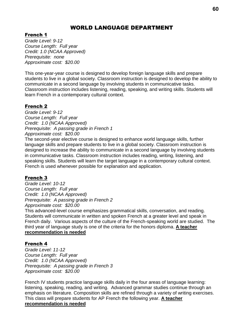# WORLD LANGUAGE DEPARTMENT

# French 1

*Grade Level: 9-12 Course Length: Full year Credit: 1.0 (NCAA Approved) Prerequisite: none Approximate cost: \$20.00*

This one-year-year course is designed to develop foreign language skills and prepare students to live in a global society. Classroom instruction is designed to develop the ability to communicate in a second language by involving students in communicative tasks. Classroom instruction includes listening, reading, speaking, and writing skills. Students will learn French in a contemporary cultural context.

# French 2

*Grade Level: 9-12 Course Length: Full year Credit: 1.0 (NCAA Approved) Prerequisite: A passing grade in French 1 Approximate cost: \$20.00* 

The second-year elective course is designed to enhance world language skills, further language skills and prepare students to live in a global society. Classroom instruction is designed to increase the ability to communicate in a second language by involving students in communicative tasks. Classroom instruction includes reading, writing, listening, and speaking skills. Students will learn the target language in a contemporary cultural context. French is used whenever possible for explanation and application.

# French 3

*Grade Level: 10-12 Course Length: Full year Credit: 1.0 (NCAA Approved) Prerequisite: A passing grade in French 2 Approximate cost: \$20.00* 

This advanced-level course emphasizes grammatical skills, conversation, and reading. Students will communicate in written and spoken French at a greater level and speak in French daily. Various aspects of the culture of the French-speaking world are studied. The third year of language study is one of the criteria for the honors diploma. **A teacher recommendation is needed**

# French 4

*Grade Level: 11-12 Course Length: Full year Credit: 1.0 (NCAA Approved) Prerequisite: A passing grade in French 3 Approximate cost: \$20.00* 

French IV students practice language skills daily in the four areas of language learning: listening, speaking, reading, and writing. Advanced grammar studies continue through an emphasis on literature. Composition skills are refined through a variety of writing exercises. This class will prepare students for AP French the following year. **A teacher recommendation is needed**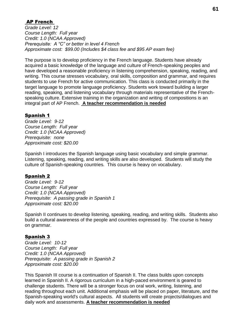# AP French

*Grade Level: 12 Course Length: Full year Credit: 1.0 (NCAA Approved) Prerequisite: A "C" or better in level 4 French Approximate cost: \$99.00 (Includes \$4 class fee and \$95 AP exam fee)*

The purpose is to develop proficiency in the French language. Students have already acquired a basic knowledge of the language and culture of French-speaking peoples and have developed a reasonable proficiency in listening comprehension, speaking, reading, and writing. This course stresses vocabulary, oral skills, composition and grammar, and requires students to use French for active communication. This class is conducted primarily in the target language to promote language proficiency. Students work toward building a larger reading, speaking, and listening vocabulary through materials representative of the Frenchspeaking culture. Extensive training in the organization and writing of compositions is an integral part of AP French. **A teacher recommendation is needed**

### Spanish 1

*Grade Level: 9-12 Course Length: Full year Credit: 1.0 (NCAA Approved) Prerequisite: none Approximate cost: \$20.00*

Spanish I introduces the Spanish language using basic vocabulary and simple grammar. Listening, speaking, reading, and writing skills are also developed. Students will study the culture of Spanish-speaking countries. This course is heavy on vocabulary.

#### Spanish 2

*Grade Level: 9-12 Course Length: Full year Credit: 1.0 (NCAA Approved) Prerequisite: A passing grade in Spanish 1 Approximate cost: \$20.00*

Spanish II continues to develop listening, speaking, reading, and writing skills. Students also build a cultural awareness of the people and countries expressed by. The course is heavy on grammar.

# Spanish 3

*Grade Level: 10-12 Course Length: Full year Credit: 1.0 (NCAA Approved) Prerequisite: A passing grade in Spanish 2 Approximate cost: \$20.00*

This Spanish III course is a continuation of Spanish II. The class builds upon concepts learned in Spanish II. A rigorous curriculum in a high-paced environment is geared to challenge students. There will be a stronger focus on oral work, writing, listening, and reading throughout each unit. Additional emphasis will be placed on paper, literature, and the Spanish-speaking world's cultural aspects. All students will create projects/dialogues and daily work and assessments. **A teacher recommendation is needed**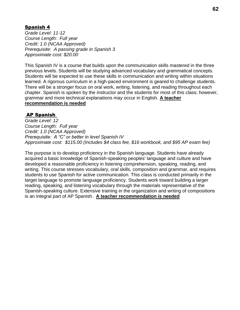# Spanish 4

*Grade Level: 11-12 Course Length: Full year Credit: 1.0 (NCAA Approved) Prerequisite: A passing grade in Spanish 3 Approximate cost: \$20.00*

This Spanish IV is a course that builds upon the communication skills mastered in the three previous levels. Students will be studying advanced vocabulary and grammatical concepts. Students will be expected to use these skills in communication and writing within situations learned. A rigorous curriculum in a high-paced environment is geared to challenge students. There will be a stronger focus on oral work, writing, listening, and reading throughout each chapter. Spanish is spoken by the instructor and the students for most of this class; however, grammar and more technical explanations may occur in English. **A teacher recommendation is needed**

# AP Spanish

*Grade Level: 12 Course Length: Full year Credit: 1.0 (NCAA Approved) Prerequisite: A "C" or better in level Spanish IV Approximate cost: \$115.00 (Includes \$4 class fee, \$16 workbook, and \$95 AP exam fee)*

The purpose is to develop proficiency in the Spanish language. Students have already acquired a basic knowledge of Spanish-speaking peoples' language and culture and have developed a reasonable proficiency in listening comprehension, speaking, reading, and writing. This course stresses vocabulary, oral skills, composition and grammar, and requires students to use Spanish for active communication. This class is conducted primarily in the target language to promote language proficiency. Students work toward building a larger reading, speaking, and listening vocabulary through the materials representative of the Spanish-speaking culture. Extensive training in the organization and writing of compositions is an integral part of AP Spanish. **A teacher recommendation is needed**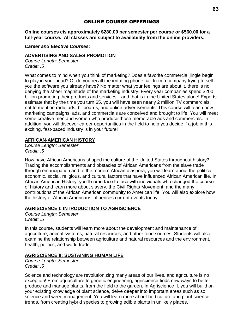# ONLINE COURSE OFFERINGS

**Online courses cis approximately \$280.00 per semester per course or \$560.00 for a full-year course. All classes are subject to availability from the online providers.**

*Career and Elective Courses:*

#### **ADVERTISING AND SALES PROMOTION**

*Course Length: Semester Credit: .5*

What comes to mind when you think of marketing? Does a favorite commercial jingle begin to play in your head? Or do you recall the irritating phone call from a company trying to sell you the software you already have? No matter what your feelings are about it, there is no denying the sheer magnitude of the marketing industry. Every year companies spend \$200 billion promoting their products and services—and that is in the United States alone! Experts estimate that by the time you turn 65, you will have seen nearly 2 million TV commercials, not to mention radio ads, billboards, and online advertisements. This course will teach how marketing campaigns, ads, and commercials are conceived and brought to life. You will meet some creative men and women who produce those memorable ads and commercials. In addition, you will discover career opportunities in the field to help you decide if a job in this exciting, fast-paced industry is in your future!

#### **AFRICAN-AMERICAN HISTORY**

*Course Length: Semester Credit: .5*

How have African Americans shaped the culture of the United States throughout history? Tracing the accomplishments and obstacles of African Americans from the slave trade through emancipation and to the modern African diaspora, you will learn about the political, economic, social, religious, and cultural factors that have influenced African American life. In African American History, you'll come face to face with individuals who changed the course of history and learn more about slavery, the Civil Rights Movement, and the many contributions of the African American community to American life. You will also explore how the history of African Americans influences current events today.

#### **AGRISCIENCE I: INTRODUCTION TO AGRISCIENCE**

*Course Length: Semester Credit: .5*

In this course, students will learn more about the development and maintenance of agriculture, animal systems, natural resources, and other food sources. Students will also examine the relationship between agriculture and natural resources and the environment, health, politics, and world trade.

#### **AGRISCIENCE II: SUSTAINING HUMAN LIFE**

*Course Length: Semester Credit: .5*

Science and technology are revolutionizing many areas of our lives, and agriculture is no exception! From aquaculture to genetic engineering, agriscience finds new ways to better produce and manage plants, from the field to the garden. In Agriscience II, you will build on your existing knowledge of plant science, delve deeper into important areas such as soil science and weed management. You will learn more about horticulture and plant science trends, from creating hybrid species to growing edible plants in unlikely places.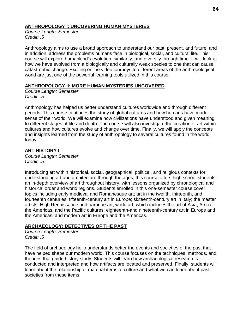# **ANTHROPOLOGY I: UNCOVERING HUMAN MYSTERIES**

*Course Length: Semester Credit: .5*

Anthropology aims to use a broad approach to understand our past, present, and future, and in addition, address the problems humans face in biological, social, and cultural life. This course will explore humankind's evolution, similarity, and diversity through time. It will look at how we have evolved from a biologically and culturally weak species to one that can cause catastrophic change. Exciting online video journeys to different areas of the anthropological world are just one of the powerful learning tools utilized in this course.

#### **ANTHROPOLOGY II: MORE HUMAN MYSTERIES UNCOVERED**

*Course Length: Semester Credit: .5*

Anthropology has helped us better understand cultures worldwide and through different periods. This course continues the study of global cultures and how humans have made sense of their world. We will examine how civilizations have understood and given meaning to different stages of life and death. The course will also investigate the creation of art within cultures and how cultures evolve and change over time. Finally, we will apply the concepts and insights learned from the study of anthropology to several cultures found in the world today.

# **ART HISTORY I**

*Course Length: Semester Credit: .5*

Introducing art within historical, social, geographical, political, and religious contexts for understanding art and architecture through the ages, this course offers high school students an in-depth overview of art throughout history, with lessons organized by chronological and historical order and world regions. Students enrolled in this one-semester course cover topics including early medieval and Romanesque art; art in the twelfth, thirteenth, and fourteenth centuries; fifteenth-century art in Europe; sixteenth-century art in Italy; the master artists; High Renaissance and baroque art; world art, which includes the art of Asia, Africa, the Americas, and the Pacific cultures; eighteenth-and nineteenth-century art in Europe and the Americas; and modern art in Europe and the Americas.

# **ARCHAEOLOGY: DETECTIVES OF THE PAST**

*Course Length: Semester Credit: .5*

The field of archaeology hello understands better the events and societies of the past that have helped shape our modern world. This course focuses on the techniques, methods, and theories that guide history study. Students will learn how archaeological research is conducted and interpreted and how artifacts are located and preserved. Finally, students will learn about the relationship of material items to culture and what we can learn about past societies from these items.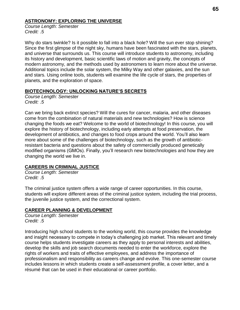### **ASTRONOMY: EXPLORING THE UNIVERSE**

*Course Length: Semester Credit: .5*

Why do stars twinkle? Is it possible to fall into a black hole? Will the sun ever stop shining? Since the first glimpse of the night sky, humans have been fascinated with the stars, planets, and universe that surrounds us. This course will introduce students to astronomy, including its history and development, basic scientific laws of motion and gravity, the concepts of modern astronomy, and the methods used by astronomers to learn more about the universe. Additional topics include the solar system, the Milky Way and other galaxies, and the sun and stars. Using online tools, students will examine the life cycle of stars, the properties of planets, and the exploration of space.

### **BIOTECHNOLOGY: UNLOCKING NATURE'S SECRETS**

*Course Length: Semester Credit: .5*

Can we bring back extinct species? Will the cures for cancer, malaria, and other diseases come from the combination of natural materials and new technologies? How is science changing the foods we eat? Welcome to the world of biotechnology! In this course, you will explore the history of biotechnology, including early attempts at food preservation, the development of antibiotics, and changes to food crops around the world. You'll also learn more about some of the challenges of biotechnology, such as the growth of antibioticresistant bacteria and questions about the safety of commercially produced genetically modified organisms (GMOs). Finally, you'll research new biotechnologies and how they are changing the world we live in.

# **CAREERS IN CRIMINAL JUSTICE**

*Course Length: Semester Credit: .5*

The criminal justice system offers a wide range of career opportunities. In this course, students will explore different areas of the criminal justice system, including the trial process, the juvenile justice system, and the correctional system.

# **CAREER PLANNING & DEVELOPMENT**

*Course Length: Semester Credit: .5*

Introducing high school students to the working world, this course provides the knowledge and insight necessary to compete in today's challenging job market. This relevant and timely course helps students investigate careers as they apply to personal interests and abilities, develop the skills and job search documents needed to enter the workforce, explore the rights of workers and traits of effective employees, and address the importance of professionalism and responsibility as careers change and evolve. This one-semester course includes lessons in which students create a self-assessment profile, a cover letter, and a résumé that can be used in their educational or career portfolio.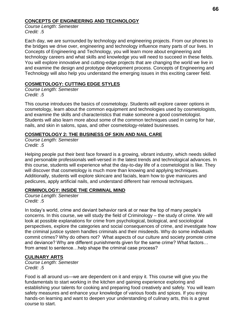### **CONCEPTS OF ENGINEERING AND TECHNOLOGY**

*Course Length: Semester Credit: .5*

Each day, we are surrounded by technology and engineering projects. From our phones to the bridges we drive over, engineering and technology influence many parts of our lives. In Concepts of Engineering and Technology, you will learn more about engineering and technology careers and what skills and knowledge you will need to succeed in these fields. You will explore innovative and cutting-edge projects that are changing the world we live in and examine the design and prototype development process. Concepts of Engineering and Technology will also help you understand the emerging issues in this exciting career field.

#### **COSMETOLOGY: CUTTING EDGE STYLES**

*Course Length: Semester Credit: .5*

This course introduces the basics of cosmetology. Students will explore career options in cosmetology, learn about the common equipment and technologies used by cosmetologists, and examine the skills and characteristics that make someone a good cosmetologist. Students will also learn more about some of the common techniques used in caring for hair, nails, and skin in salons, spas, and other cosmetology-related businesses.

#### **COSMETOLOGY 2: THE BUSINESS OF SKIN AND NAIL CARE**

*Course Length: Semester Credit: .5*

Helping people put their best face forward is a growing, vibrant industry, which needs skilled and personable professionals well-versed in the latest trends and technological advances. In this course, students will experience what the day-to-day life of a cosmetologist is like. They will discover that cosmetology is much more than knowing and applying techniques. Additionally, students will explore skincare and facials, learn how to give manicures and pedicures, apply artificial nails, and understand different hair removal techniques.

# **CRIMINOLOGY: INSIDE THE CRIMINAL MIND**

*Course Length: Semester Credit: .5*

In today's world, crime and deviant behavior rank at or near the top of many people's concerns. In this course, we will study the field of Criminology – the study of crime. We will look at possible explanations for crime from psychological, biological, and sociological perspectives, explore the categories and social consequences of crime, and investigate how the criminal justice system handles criminals and their misdeeds. Why do some individuals commit crimes? Why do others not? What aspects of our culture and society promote crime and deviance? Why are different punishments given for the same crime? What factors… from arrest to sentence…help shape the criminal case process?

# **CULINARY ARTS**

*Course Length: Semester Credit: .5*

Food is all around us—we are dependent on it and enjoy it. This course will give you the fundamentals to start working in the kitchen and gaining experience exploring and establishing your talents for cooking and preparing food creatively and safely. You will learn safety measures and enhance your knowledge of various foods and spices. If you enjoy hands-on learning and want to deepen your understanding of culinary arts, this is a great course to start.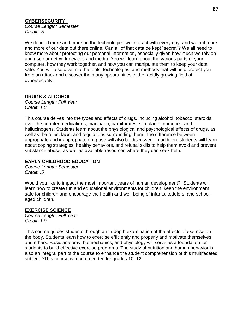# **CYBERSECURITY I**

*Course Length: Semester Credit: .5*

We depend more and more on the technologies we interact with every day, and we put more and more of our data out there online. Can all of that data be kept "secret"? We all need to know more about protecting our personal information, especially given how much we rely on and use our network devices and media. You will learn about the various parts of your computer, how they work together, and how you can manipulate them to keep your data safe. You will also dive into the tools, technologies, and methods that will help protect you from an attack and discover the many opportunities in the rapidly growing field of cybersecurity.

# **DRUGS & ALCOHOL**

*Course Length: Full Year Credit: 1.0*

This course delves into the types and effects of drugs, including alcohol, tobacco, steroids, over-the-counter medications, marijuana, barbiturates, stimulants, narcotics, and hallucinogens. Students learn about the physiological and psychological effects of drugs, as well as the rules, laws, and regulations surrounding them. The difference between appropriate and inappropriate drug use will also be discussed. In addition, students will learn about coping strategies, healthy behaviors, and refusal skills to help them avoid and prevent substance abuse, as well as available resources where they can seek help.

#### **EARLY CHILDHOOD EDUCATION**

*Course Length: Semester Credit: .5*

Would you like to impact the most important years of human development? Students will learn how to create fun and educational environments for children, keep the environment safe for children and encourage the health and well-being of infants, toddlers, and schoolaged children.

# **EXERCISE SCIENCE**

*Course Length: Full Year Credit: 1.0*

This course guides students through an in-depth examination of the effects of exercise on the body. Students learn how to exercise efficiently and properly and motivate themselves and others. Basic anatomy, biomechanics, and physiology will serve as a foundation for students to build effective exercise programs. The study of nutrition and human behavior is also an integral part of the course to enhance the student comprehension of this multifaceted subject. \*This course is recommended for grades 10–12.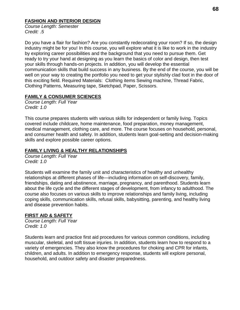# **FASHION AND INTERIOR DESIGN**

*Course Length: Semester Credit: .5*

Do you have a flair for fashion? Are you constantly redecorating your room? If so, the design industry might be for you! In this course, you will explore what it is like to work in the industry by exploring career possibilities and the background that you need to pursue them. Get ready to try your hand at designing as you learn the basics of color and design, then test your skills through hands-on projects. In addition, you will develop the essential communication skills that build success in any business. By the end of the course, you will be well on your way to creating the portfolio you need to get your stylishly clad foot in the door of this exciting field. Required Materials: Clothing items Sewing machine, Thread Fabric, Clothing Patterns, Measuring tape, Sketchpad, Paper, Scissors.

# **FAMILY & CONSUMER SCIENCES**

*Course Length: Full Year Credit: 1.0*

This course prepares students with various skills for independent or family living. Topics covered include childcare, home maintenance, food preparation, money management, medical management, clothing care, and more. The course focuses on household, personal, and consumer health and safety. In addition, students learn goal-setting and decision-making skills and explore possible career options.

# **FAMILY LIVING & HEALTHY RELATIONSHIPS**

*Course Length: Full Year Credit: 1.0*

Students will examine the family unit and characteristics of healthy and unhealthy relationships at different phases of life—including information on self-discovery, family, friendships, dating and abstinence, marriage, pregnancy, and parenthood. Students learn about the life cycle and the different stages of development, from infancy to adulthood. The course also focuses on various skills to improve relationships and family living, including coping skills, communication skills, refusal skills, babysitting, parenting, and healthy living and disease prevention habits.

# **FIRST AID & SAFETY**

*Course Length: Full Year Credit: 1.0*

Students learn and practice first aid procedures for various common conditions, including muscular, skeletal, and soft tissue injuries. In addition, students learn how to respond to a variety of emergencies. They also know the procedures for choking and CPR for infants, children, and adults. In addition to emergency response, students will explore personal, household, and outdoor safety and disaster preparedness.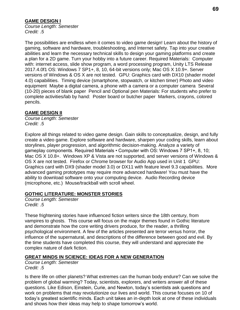# **GAME DESIGN I**

*Course Length: Semester Credit: .5*

The possibilities are endless when it comes to video game design! Learn about the history of gaming, software and hardware, troubleshooting, and Internet safety. Tap into your creative abilities and learn the necessary technical skills to design your gaming platforms and create a plan for a 2D game. Turn your hobby into a future career. Required Materials: Computer with: internet access, slide show program, a word processing program, Unity LTS Release 2017.4.0f1 OS: Windows 7 SP1+, 8, 10, 64-bit versions only; Mac OS X 10.9+. Server versions of Windows & OS X are not tested. GPU: Graphics card with DX10 (shader model 4.0) capabilities. Timing device (smartphone, stopwatch, or kitchen timer) Photo and video equipment Maybe a digital camera, a phone with a camera or a computer camera Several (10-20) pieces of blank paper Pencil and Optional pen Materials: For students who prefer to complete activities/lab by hand: Poster board or butcher paper Markers, crayons, colored pencils.

#### **GAME DESIGN II**

*Course Length: Semester Credit: .5*

Explore all things related to video game design. Gain skills to conceptualize, design, and fully create a video game. Explore software and hardware, sharpen your coding skills, learn about storylines, player progression, and algorithmic decision-making. Analyze a variety of gameplay components. Required Materials • Computer with OS: Windows 7 SP1+, 8, 10; Mac OS X 10.8+. Windows XP & Vista are not supported, and server versions of Windows & OS X are not tested. Firefox or Chrome browser for Audio App used in Unit 1 GPU: Graphics card with DX9 (shader model 3.0) or DX11 with feature level 9.3 capabilities. More advanced gaming prototypes may require more advanced hardware! You must have the ability to download software onto your computing device. Audio Recording device (microphone, etc.) Mouse/trackball with scroll wheel.

#### **GOTHIC LITERATURE: MONSTER STORIES**

*Course Length: Semester Credit: .5*

These frightening stories have influenced fiction writers since the 18th century, from vampires to ghosts. This course will focus on the major themes found in Gothic literature and demonstrate how the core writing drivers produce, for the reader, a thrilling psychological environment. A few of the articles presented are terror versus horror, the influence of the supernatural, and descriptions of the difference between good and evil. By the time students have completed this course, they will understand and appreciate the complex nature of dark fiction.

#### **GREAT MINDS IN SCIENCE: IDEAS FOR A NEW GENERATION**

*Course Length: Semester Credit: .5*

Is there life on other planets? What extremes can the human body endure? Can we solve the problem of global warming? Today, scientists, explorers, and writers answer all of these questions. Like Edison, Einstein, Curie, and Newton, today's scientists ask questions and work on problems that may revolutionize our lives and world. This course focuses on 10 of today's greatest scientific minds. Each unit takes an in-depth look at one of these individuals and shows how their ideas may help to shape tomorrow's world.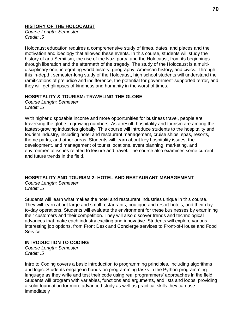### **HISTORY OF THE HOLOCAUST**

*Course Length: Semester Credit: .5*

Holocaust education requires a comprehensive study of times, dates, and places and the motivation and ideology that allowed these events. In this course, students will study the history of anti-Semitism, the rise of the Nazi party, and the Holocaust, from its beginnings through liberation and the aftermath of the tragedy. The study of the Holocaust is a multidisciplinary one, integrating world history, geography, American history, and civics. Through this in-depth, semester-long study of the Holocaust, high school students will understand the ramifications of prejudice and indifference, the potential for government-supported terror, and they will get glimpses of kindness and humanity in the worst of times.

### **HOSPITALITY & TOURISM: TRAVELING THE GLOBE**

*Course Length: Semester Credit: .5*

With higher disposable income and more opportunities for business travel, people are traversing the globe in growing numbers. As a result, hospitality and tourism are among the fastest-growing industries globally. This course will introduce students to the hospitality and tourism industry, including hotel and restaurant management, cruise ships, spas, resorts, theme parks, and other areas. Students will learn about key hospitality issues, the development, and management of tourist locations, event planning, marketing, and environmental issues related to leisure and travel. The course also examines some current and future trends in the field.

# **HOSPITALITY AND TOURISM 2: HOTEL AND RESTAURANT MANAGEMENT**

*Course Length: Semester Credit: .5*

Students will learn what makes the hotel and restaurant industries unique in this course. They will learn about large and small restaurants, boutique and resort hotels, and their dayto-day operations. Students will evaluate the environment for these businesses by examining their customers and their competition. They will also discover trends and technological advances that make each industry exciting and innovative. Students will explore various interesting job options, from Front Desk and Concierge services to Front-of-House and Food Service.

# **INTRODUCTION TO CODING**

*Course Length: Semester Credit: .5*

Intro to Coding covers a basic introduction to programming principles, including algorithms and logic. Students engage in hands-on programming tasks in the Python programming language as they write and test their code using real programmers' approaches in the field. Students will program with variables, functions and arguments, and lists and loops, providing a solid foundation for more advanced study as well as practical skills they can use immediately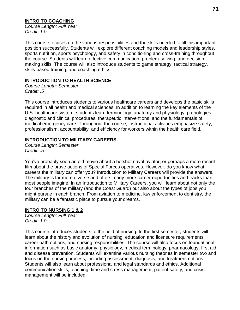# **INTRO TO COACHING**

*Course Length: Full Year Credit: 1.0*

This course focuses on the various responsibilities and the skills needed to fill this important position successfully. Students will explore different coaching models and leadership styles, sports nutrition, sports psychology, and safety in conditioning and cross-training throughout the course. Students will learn effective communication, problem-solving, and decisionmaking skills. The course will also introduce students to game strategy, tactical strategy, skills-based training, and coaching ethics.

# **INTRODUCTION TO HEALTH SCIENCE**

*Course Length: Semester Credit: .5*

This course introduces students to various healthcare careers and develops the basic skills required in all health and medical sciences. In addition to learning the key elements of the U.S. healthcare system, students learn terminology, anatomy and physiology, pathologies, diagnostic and clinical procedures, therapeutic interventions, and the fundamentals of medical emergency care. Throughout the course, instructional activities emphasize safety, professionalism, accountability, and efficiency for workers within the health care field.

# **INTRODUCTION TO MILITARY CAREERS**

*Course Length: Semester Credit: .5*

You've probably seen an old movie about a hotshot naval aviator, or perhaps a more recent film about the brave actions of Special Forces operatives. However, do you know what careers the military can offer you? Introduction to Military Careers will provide the answers. The military is far more diverse and offers many more career opportunities and tracks than most people imagine. In an Introduction to Military Careers, you will learn about not only the four branches of the military (and the Coast Guard) but also about the types of jobs you might pursue in each branch. From aviation to medicine, law enforcement to dentistry, the military can be a fantastic place to pursue your dreams.

# **INTRO TO NURSING 1 & 2**

*Course Length: Full Year Credit: 1.0*

This course introduces students to the field of nursing. In the first semester, students will learn about the history and evolution of nursing, education and licensure requirements, career path options, and nursing responsibilities. The course will also focus on foundational information such as basic anatomy, physiology, medical terminology, pharmacology, first aid, and disease prevention. Students will examine various nursing theories in semester two and focus on the nursing process, including assessment, diagnosis, and treatment options. Students will also learn about professional and legal standards and ethics. Additional communication skills, teaching, time and stress management, patient safety, and crisis management will be included.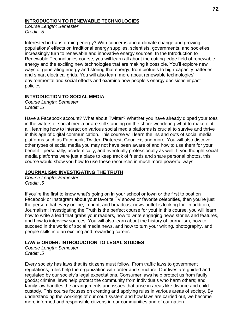#### **INTRODUCTION TO RENEWABLE TECHNOLOGIES**

*Course Length: Semester Credit: .5*

Interested in transforming energy? With concerns about climate change and growing populations' effects on traditional energy supplies, scientists, governments, and societies increasingly turn to renewable and innovative energy sources. In the Introduction to Renewable Technologies course, you will learn all about the cutting-edge field of renewable energy and the exciting new technologies that are making it possible. You'll explore new ways of generating energy and storing that energy, from biofuels to high-capacity batteries and smart electrical grids. You will also learn more about renewable technologies' environmental and social effects and examine how people's energy decisions impact policies.

# **INTRODUCTION TO SOCIAL MEDIA**

*Course Length: Semester Credit: .5*

Have a Facebook account? What about Twitter? Whether you have already dipped your toes in the waters of social media or are still standing on the shore wondering what to make of it all, learning how to interact on various social media platforms is crucial to survive and thrive in this age of digital communication. This course will learn the ins and outs of social media platforms such as Facebook, Twitter, Pinterest, Google+, and more. You will also discover other types of social media you may not have been aware of and how to use them for your benefit—personally, academically, and eventually professionally as well. If you thought social media platforms were just a place to keep track of friends and share personal photos, this course would show you how to use these resources in much more powerful ways.

# **JOURNALISM: INVESTIGATING THE TRUTH**

*Course Length: Semester Credit: .5*

If you're the first to know what's going on in your school or town or the first to post on Facebook or Instagram about your favorite TV shows or favorite celebrities, then you're just the person that every online, in print, and broadcast news outlet is looking for. In addition, Journalism: Investigating the Truth is the perfect course for you! In this course, you will learn how to write a lead that grabs your readers, how to write engaging news stories and features, and how to interview sources. You will also learn about the history of journalism, how to succeed in the world of social media news, and how to turn your writing, photography, and people skills into an exciting and rewarding career.

# **LAW & ORDER: INTRODUCTION TO LEGAL STUDIES**

*Course Length: Semester Credit: .5*

Every society has laws that its citizens must follow. From traffic laws to government regulations, rules help the organization with order and structure. Our lives are guided and regulated by our society's legal expectations. Consumer laws help protect us from faulty goods; criminal laws help protect the community from individuals who harm others; and family law handles the arrangements and issues that arise in areas like divorce and child custody. This course focuses on creating and applying rules in various areas of society. By understanding the workings of our court system and how laws are carried out, we become more informed and responsible citizens in our communities and of our nation.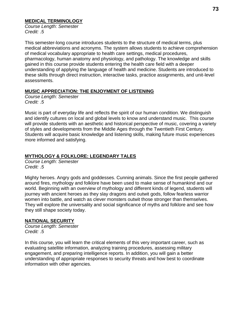#### **MEDICAL TERMINOLOGY**

*Course Length: Semester Credit: .5*

This semester-long course introduces students to the structure of medical terms, plus medical abbreviations and acronyms. The system allows students to achieve comprehension of medical vocabulary appropriate to health care settings, medical procedures, pharmacology, human anatomy and physiology, and pathology. The knowledge and skills gained in this course provide students entering the health care field with a deeper understanding of applying the language of health and medicine. Students are introduced to these skills through direct instruction, interactive tasks, practice assignments, and unit-level assessments.

### **MUSIC APPRECIATION: THE ENJOYMENT OF LISTENING**

*Course Length: Semester Credit: .5*

Music is part of everyday life and reflects the spirit of our human condition. We distinguish and identify cultures on local and global levels to know and understand music. This course will provide students with an aesthetic and historical perspective of music, covering a variety of styles and developments from the Middle Ages through the Twentieth First Century. Students will acquire basic knowledge and listening skills, making future music experiences more informed and satisfying.

# **MYTHOLOGY & FOLKLORE: LEGENDARY TALES**

*Course Length: Semester Credit: .5*

Mighty heroes. Angry gods and goddesses. Cunning animals. Since the first people gathered around fires, mythology and folklore have been used to make sense of humankind and our world. Beginning with an overview of mythology and different kinds of legend, students will journey with ancient heroes as they slay dragons and outwit gods, follow fearless warrior women into battle, and watch as clever monsters outwit those stronger than themselves. They will explore the universality and social significance of myths and folklore and see how they still shape society today.

# **NATIONAL SECURITY**

*Course Length: Semester Credit: .5*

In this course, you will learn the critical elements of this very important career, such as evaluating satellite information, analyzing training procedures, assessing military engagement, and preparing intelligence reports. In addition, you will gain a better understanding of appropriate responses to security threats and how best to coordinate information with other agencies.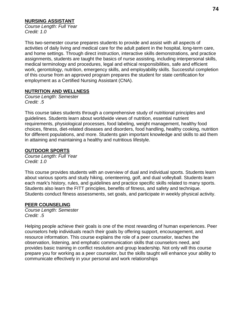# **NURSING ASSISTANT**

*Course Length: Full Year Credit: 1.0*

This two-semester course prepares students to provide and assist with all aspects of activities of daily living and medical care for the adult patient in the hospital, long-term care, and home settings. Through direct instruction, interactive skills demonstrations, and practice assignments, students are taught the basics of nurse assisting, including interpersonal skills, medical terminology and procedures, legal and ethical responsibilities, safe and efficient work, gerontology, nutrition, emergency skills, and employability skills. Successful completion of this course from an approved program prepares the student for state certification for employment as a Certified Nursing Assistant (CNA).

### **NUTRITION AND WELLNESS**

*Course Length: Semester Credit: .5*

This course takes students through a comprehensive study of nutritional principles and guidelines. Students learn about worldwide views of nutrition, essential nutrient requirements, physiological processes, food labeling, weight management, healthy food choices, fitness, diet-related diseases and disorders, food handling, healthy cooking, nutrition for different populations, and more. Students gain important knowledge and skills to aid them in attaining and maintaining a healthy and nutritious lifestyle.

# **OUTDOOR SPORTS**

*Course Length: Full Year Credit: 1.0*

This course provides students with an overview of dual and individual sports. Students learn about various sports and study hiking, orienteering, golf, and dual volleyball. Students learn each mark's history, rules, and guidelines and practice specific skills related to many sports. Students also learn the FITT principles, benefits of fitness, and safety and technique. Students conduct fitness assessments, set goals, and participate in weekly physical activity.

# **PEER COUNSELING**

*Course Length: Semester Credit: .5*

Helping people achieve their goals is one of the most rewarding of human experiences. Peer counselors help individuals reach their goals by offering support, encouragement, and resource information. This course explains the role of a peer counselor, teaches the observation, listening, and emphatic communication skills that counselors need, and provides basic training in conflict resolution and group leadership. Not only will this course prepare you for working as a peer counselor, but the skills taught will enhance your ability to communicate effectively in your personal and work relationships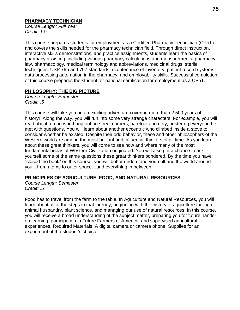#### **PHARMACY TECHNICIAN**

*Course Length: Full Year Credit: 1.0*

This course prepares students for employment as a Certified Pharmacy Technician (CPhT) and covers the skills needed for the pharmacy technician field. Through direct instruction, interactive skills demonstrations, and practice assignments, students learn the basics of pharmacy assisting, including various pharmacy calculations and measurements, pharmacy law, pharmacology, medical terminology and abbreviations, medicinal drugs, sterile techniques, USP 795 and 797 standards, maintenance of inventory, patient record systems, data processing automation in the pharmacy, and employability skills. Successful completion of this course prepares the student for national certification for employment as a CPhT.

# **PHILOSOPHY: THE BIG PICTURE**

*Course Length: Semester Credit: .5*

This course will take you on an exciting adventure covering more than 2,500 years of history! Along the way, you will run into some very strange characters. For example, you will read about a man who hung out on street corners, barefoot and dirty, pestering everyone he met with questions. You will learn about another eccentric who climbed inside a stove to consider whether he existed. Despite their odd behavior, these and other philosophers of the Western world are among the most brilliant and influential thinkers of all time. As you learn about these great thinkers, you will come to see how and where many of the most fundamental ideas of Western Civilization originated. You will also get a chance to ask yourself some of the same questions these great thinkers pondered. By the time you have "closed the book" on this course, you will better understand yourself and the world around you…from atoms to outer space…and everything in between.

# **PRINCIPLES OF AGRICULTURE, FOOD, AND NATURAL RESOURCES**

*Course Length: Semester Credit: .5*

Food has to travel from the farm to the table. In Agriculture and Natural Resources, you will learn about all of the steps in that journey, beginning with the history of agriculture through animal husbandry, plant science, and managing our use of natural resources. In this course, you will receive a broad understanding of the subject matter, preparing you for future handson learning, participation in Future Farmers of America, and supervised agricultural experiences. Required Materials: A digital camera or camera phone. Supplies for an experiment of the student's choice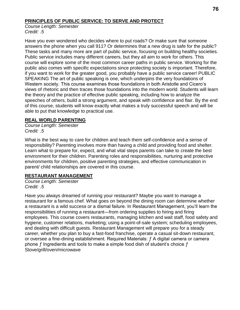# **PRINCIPLES OF PUBLIC SERVICE: TO SERVE AND PROTECT**

*Course Length: Semester Credit: .5*

Have you ever wondered who decides where to put roads? Or make sure that someone answers the phone when you call 911? Or determines that a new drug is safe for the public? These tasks and many more are part of public service, focusing on building healthy societies. Public service includes many different careers, but they all aim to work for others. This course will explore some of the most common career paths in public service. Working for the public also comes with specific expectations since protecting society is important. Therefore, if you want to work for the greater good, you probably have a public service career! PUBLIC SPEAKING The art of public speaking is one, which underpins the very foundations of Western society. This course examines those foundations in both Aristotle and Cicero's views of rhetoric and then traces those foundations into the modern world. Students will learn the theory and the practice of effective public speaking, including how to analyze the speeches of others, build a strong argument, and speak with confidence and flair. By the end of this course, students will know exactly what makes a truly successful speech and will be able to put that knowledge to practical use.

# **REAL WORLD PARENTING**

*Course Length: Semester Credit: .5*

What is the best way to care for children and teach them self-confidence and a sense of responsibility? Parenting involves more than having a child and providing food and shelter. Learn what to prepare for, expect, and what vital steps parents can take to create the best environment for their children. Parenting roles and responsibilities, nurturing and protective environments for children, positive parenting strategies, and effective communication in parent/ child relationships are covered in this course.

# **RESTAURANT MANAGEMENT**

*Course Length: Semester Credit: .5*

Have you always dreamed of running your restaurant? Maybe you want to manage a restaurant for a famous chef. What goes on beyond the dining room can determine whether a restaurant is a wild success or a dismal failure. In Restaurant Management, you'll learn the responsibilities of running a restaurant—from ordering supplies to hiring and firing employees. This course covers restaurants, managing kitchen and wait staff, food safety and hygiene, customer relations, marketing; using a point-of-sale system; scheduling employees, and dealing with difficult guests. Restaurant Management will prepare you for a steady career, whether you plan to buy a fast-food franchise, operate a casual sit-down restaurant, or oversee a fine-dining establishment. Required Materials: ƒ A digital camera or camera phone  $f$  Ingredients and tools to make a simple food dish of student's choice  $f$ Stove/grill/oven/microwave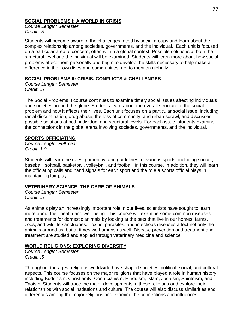### **SOCIAL PROBLEMS I: A WORLD IN CRISIS**

*Course Length: Semester Credit: .5*

Students will become aware of the challenges faced by social groups and learn about the complex relationship among societies, governments, and the individual. Each unit is focused on a particular area of concern, often within a global context. Possible solutions at both the structural level and the individual will be examined. Students will learn more about how social problems affect them personally and begin to develop the skills necessary to help make a difference in their own lives and communities, not to mention globally.

### **SOCIAL PROBLEMS II: CRISIS, CONFLICTS & CHALLENGES**

*Course Length: Semester Credit: .5*

The Social Problems II course continues to examine timely social issues affecting individuals and societies around the globe. Students learn about the overall structure of the social problem and how it affects their lives. Each unit focuses on a particular social issue, including racial discrimination, drug abuse, the loss of community, and urban sprawl, and discusses possible solutions at both individual and structural levels. For each issue, students examine the connections in the global arena involving societies, governments, and the individual.

### **SPORTS OFFICIATING**

*Course Length: Full Year Credit: 1.0*

Students will learn the rules, gameplay, and guidelines for various sports, including soccer, baseball, softball, basketball, volleyball, and football, in this course. In addition, they will learn the officiating calls and hand signals for each sport and the role a sports official plays in maintaining fair play.

# **VETERINARY SCIENCE: THE CARE OF ANIMALS**

*Course Length: Semester Credit: .5*

As animals play an increasingly important role in our lives, scientists have sought to learn more about their health and well-being. This course will examine some common diseases and treatments for domestic animals by looking at the pets that live in our homes, farms, zoos, and wildlife sanctuaries. Toxins, parasites, and infectious diseases affect not only the animals around us, but at times we humans as well! Disease prevention and treatment and treatment are studied and applied through veterinary medicine and science.

# **WORLD RELIGIONS: EXPLORING DIVERSITY**

*Course Length: Semester Credit: .5*

Throughout the ages, religions worldwide have shaped societies' political, social, and cultural aspects. This course focuses on the major religions that have played a role in human history, including Buddhism, Christianity, Confucianism, Hinduism, Islam, Judaism, Shintoism, and Taoism. Students will trace the major developments in these religions and explore their relationships with social institutions and culture. The course will also discuss similarities and differences among the major religions and examine the connections and influences.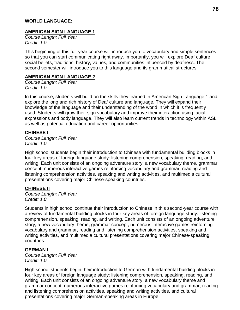#### **WORLD LANGUAGE:**

#### **AMERICAN SIGN LANGUAGE 1**

*Course Length: Full Year Credit: 1.0*

This beginning of this full-year course will introduce you to vocabulary and simple sentences so that you can start communicating right away. Importantly, you will explore Deaf culture: social beliefs, traditions, history, values, and communities influenced by deafness. The second semester will introduce you to this language and its grammatical structures.

#### **AMERICAN SIGN LANGUAGE 2**

*Course Length: Full Year Credit: 1.0*

In this course, students will build on the skills they learned in American Sign Language 1 and explore the long and rich history of Deaf culture and language. They will expand their knowledge of the language and their understanding of the world in which it is frequently used. Students will grow their sign vocabulary and improve their interaction using facial expressions and body language. They will also learn current trends in technology within ASL as well as potential education and career opportunities

#### **CHINESE I**

*Course Length: Full Year Credit: 1.0*

High school students begin their introduction to Chinese with fundamental building blocks in four key areas of foreign language study: listening comprehension, speaking, reading, and writing. Each unit consists of an ongoing adventure story, a new vocabulary theme, grammar concept, numerous interactive games reinforcing vocabulary and grammar, reading and listening comprehension activities, speaking and writing activities, and multimedia cultural presentations covering major Chinese-speaking countries.

#### **CHINESE II**

*Course Length: Full Year Credit: 1.0*

Students in high school continue their introduction to Chinese in this second-year course with a review of fundamental building blocks in four key areas of foreign language study: listening comprehension, speaking, reading, and writing. Each unit consists of an ongoing adventure story, a new vocabulary theme, grammar concept, numerous interactive games reinforcing vocabulary and grammar, reading and listening comprehension activities, speaking and writing activities, and multimedia cultural presentations covering major Chinese-speaking countries.

#### **GERMAN I**

*Course Length: Full Year Credit: 1.0*

High school students begin their introduction to German with fundamental building blocks in four key areas of foreign language study: listening comprehension, speaking, reading, and writing. Each unit consists of an ongoing adventure story, a new vocabulary theme and grammar concept, numerous interactive games reinforcing vocabulary and grammar, reading and listening comprehension activities, speaking and writing activities, and cultural presentations covering major German-speaking areas in Europe.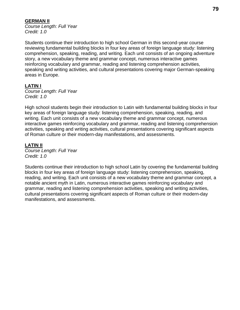### **GERMAN II**

*Course Length: Full Year Credit: 1.0*

Students continue their introduction to high school German in this second-year course reviewing fundamental building blocks in four key areas of foreign language study: listening comprehension, speaking, reading, and writing. Each unit consists of an ongoing adventure story, a new vocabulary theme and grammar concept, numerous interactive games reinforcing vocabulary and grammar, reading and listening comprehension activities, speaking and writing activities, and cultural presentations covering major German-speaking areas in Europe.

# **LATIN I**

*Course Length: Full Year Credit: 1.0*

High school students begin their introduction to Latin with fundamental building blocks in four key areas of foreign language study: listening comprehension, speaking, reading, and writing. Each unit consists of a new vocabulary theme and grammar concept, numerous interactive games reinforcing vocabulary and grammar, reading and listening comprehension activities, speaking and writing activities, cultural presentations covering significant aspects of Roman culture or their modern-day manifestations, and assessments.

# **LATIN II**

*Course Length: Full Year Credit: 1.0*

Students continue their introduction to high school Latin by covering the fundamental building blocks in four key areas of foreign language study: listening comprehension, speaking, reading, and writing. Each unit consists of a new vocabulary theme and grammar concept, a notable ancient myth in Latin, numerous interactive games reinforcing vocabulary and grammar, reading and listening comprehension activities, speaking and writing activities, cultural presentations covering significant aspects of Roman culture or their modern-day manifestations, and assessments.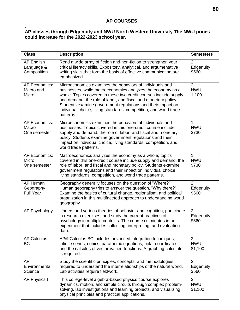#### . **AP classes through Edgenuity and NWU North Western University The NWU prices could increase for the 2022-2023 school year.**

| <b>Class</b>                                   | <b>Description</b>                                                                                                                                                                                                                                                                                                                                                                                            | <b>Semesters</b>                        |
|------------------------------------------------|---------------------------------------------------------------------------------------------------------------------------------------------------------------------------------------------------------------------------------------------------------------------------------------------------------------------------------------------------------------------------------------------------------------|-----------------------------------------|
| <b>AP English</b><br>Language &<br>Composition | Read a wide array of fiction and non-fiction to strengthen your<br>critical literacy skills. Expository, analytical, and argumentative<br>writing skills that form the basis of effective communication are<br>emphasized.                                                                                                                                                                                    | 2<br>Edgenuity<br>\$560                 |
| <b>AP Economics:</b><br>Macro and<br>Micro     | Microeconomics examines the behaviors of individuals and<br>businesses, while macroeconomics analyzes the economy as a<br>whole. Topics covered in these two credit courses include supply<br>and demand, the role of labor, and fiscal and monetary policy.<br>Students examine government regulations and their impact on<br>individual choice, living standards, competition, and world trade<br>patterns. | $\overline{2}$<br><b>NWU</b><br>1,100   |
| <b>AP Economics:</b><br>Macro<br>One semester  | Microeconomics examines the behaviors of individuals and<br>businesses. Topics covered in this one-credit course include<br>supply and demand, the role of labor, and fiscal and monetary<br>policy. Students examine government regulations and their<br>impact on individual choice, living standards, competition, and<br>world trade patterns.                                                            | 1<br><b>NWU</b><br>\$730                |
| <b>AP Economics:</b><br>Micro<br>One semester  | Macroeconomics analyzes the economy as a whole; topics<br>covered in this one-credit course include supply and demand, the<br>role of labor, and fiscal and monetary policy. Students examine<br>government regulations and their impact on individual choice,<br>living standards, competition, and world trade patterns.                                                                                    | 1<br><b>NWU</b><br>\$730                |
| AP Human<br>Geography<br><b>Full Year</b>      | Geography generally focuses on the question of "Where?"<br>Human geography tries to answer the question, "Why there?"<br>Examine the basics of cultural change, regionalism, and political<br>organization in this multifaceted approach to understanding world<br>geography.                                                                                                                                 | $\overline{2}$<br>Edgenuity<br>\$560    |
| <b>AP Psychology</b>                           | Understand various theories of behavior and cognition, participate<br>in research exercises, and study the current practices of<br>psychology in multiple contexts. The course culminates in an<br>experiment that includes collecting, interpreting, and evaluating<br>data.                                                                                                                                 | $\overline{2}$<br>Edgenuity<br>\$560    |
| <b>AP Calculus</b><br>BC                       | AP® Calculus BC includes advanced integration techniques,<br>infinite series, conics, parametric equations, polar coordinates,<br>and the calculus of vector-valued functions. A graphing calculator<br>is required.                                                                                                                                                                                          | $\overline{2}$<br><b>NWU</b><br>\$1,100 |
| AP<br>Environmental<br>Science                 | Study the scientific principles, concepts, and methodologies<br>required to understand the interrelationships of the natural world.<br>Lab activities require fieldwork.                                                                                                                                                                                                                                      | $\overline{2}$<br>Edgenuity<br>\$560    |
| <b>AP Physics I</b>                            | This college-level algebra-based physics course explores<br>dynamics, motion, and simple circuits through complex problem-<br>solving, lab investigations and learning projects, and visualizing<br>physical principles and practical applications.                                                                                                                                                           | $\overline{2}$<br><b>NWU</b><br>\$1,100 |